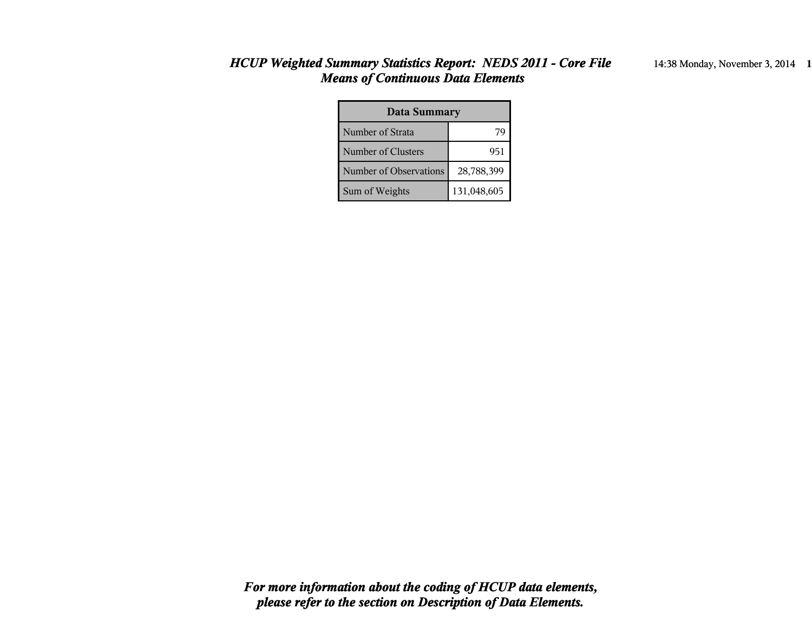#### *HCUP Weighted Summary Statistics Report: NEDS 2011 - Core File* 14:38 Monday, November 3, 2014 **1** *Means of Continuous Data Elements*

| <b>Data Summary</b>    |             |  |  |  |
|------------------------|-------------|--|--|--|
| Number of Strata       |             |  |  |  |
| Number of Clusters     | 951         |  |  |  |
| Number of Observations | 28,788,399  |  |  |  |
| Sum of Weights         | 131,048,605 |  |  |  |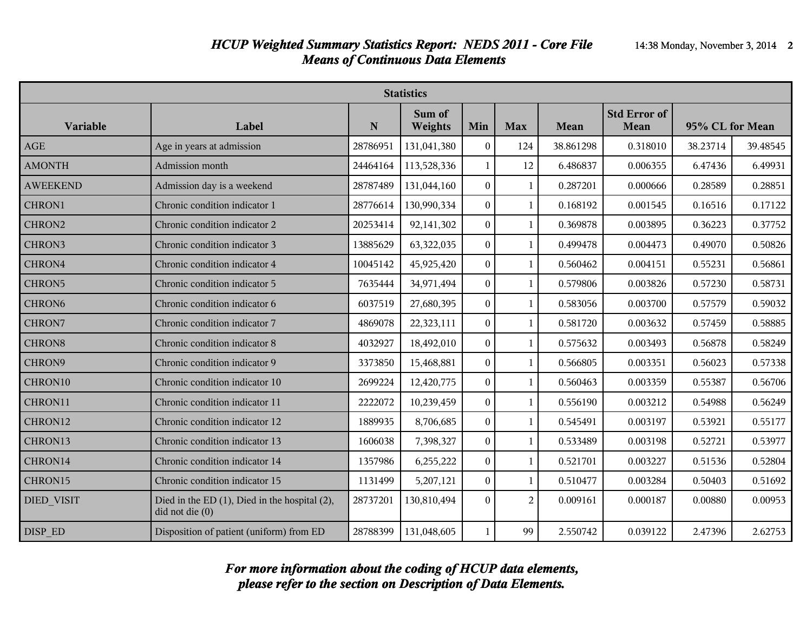| <b>Statistics</b>  |                                                                            |          |                   |                  |                |           |                             |                 |          |
|--------------------|----------------------------------------------------------------------------|----------|-------------------|------------------|----------------|-----------|-----------------------------|-----------------|----------|
| <b>Variable</b>    | Label                                                                      | N        | Sum of<br>Weights | Min              | <b>Max</b>     | Mean      | <b>Std Error of</b><br>Mean | 95% CL for Mean |          |
| AGE                | Age in years at admission                                                  | 28786951 | 131,041,380       | $\boldsymbol{0}$ | 124            | 38.861298 | 0.318010                    | 38.23714        | 39.48545 |
| <b>AMONTH</b>      | Admission month                                                            | 24464164 | 113,528,336       | $\mathbf{1}$     | 12             | 6.486837  | 0.006355                    | 6.47436         | 6.49931  |
| <b>AWEEKEND</b>    | Admission day is a weekend                                                 | 28787489 | 131,044,160       | $\boldsymbol{0}$ | 1              | 0.287201  | 0.000666                    | 0.28589         | 0.28851  |
| CHRON1             | Chronic condition indicator 1                                              | 28776614 | 130,990,334       | $\Omega$         | 1              | 0.168192  | 0.001545                    | 0.16516         | 0.17122  |
| CHRON2             | Chronic condition indicator 2                                              | 20253414 | 92,141,302        | $\boldsymbol{0}$ | 1              | 0.369878  | 0.003895                    | 0.36223         | 0.37752  |
| CHRON3             | Chronic condition indicator 3                                              | 13885629 | 63,322,035        | $\boldsymbol{0}$ | 1              | 0.499478  | 0.004473                    | 0.49070         | 0.50826  |
| CHRON4             | Chronic condition indicator 4                                              | 10045142 | 45,925,420        | $\boldsymbol{0}$ | $\mathbf{1}$   | 0.560462  | 0.004151                    | 0.55231         | 0.56861  |
| CHRON5             | Chronic condition indicator 5                                              | 7635444  | 34,971,494        | $\overline{0}$   | 1              | 0.579806  | 0.003826                    | 0.57230         | 0.58731  |
| CHRON <sub>6</sub> | Chronic condition indicator 6                                              | 6037519  | 27,680,395        | $\boldsymbol{0}$ | 1              | 0.583056  | 0.003700                    | 0.57579         | 0.59032  |
| CHRON7             | Chronic condition indicator 7                                              | 4869078  | 22,323,111        | $\boldsymbol{0}$ | 1              | 0.581720  | 0.003632                    | 0.57459         | 0.58885  |
| <b>CHRON8</b>      | Chronic condition indicator 8                                              | 4032927  | 18,492,010        | $\boldsymbol{0}$ | $\mathbf{1}$   | 0.575632  | 0.003493                    | 0.56878         | 0.58249  |
| CHRON9             | Chronic condition indicator 9                                              | 3373850  | 15,468,881        | $\overline{0}$   | $\mathbf{1}$   | 0.566805  | 0.003351                    | 0.56023         | 0.57338  |
| CHRON10            | Chronic condition indicator 10                                             | 2699224  | 12,420,775        | $\overline{0}$   | $\mathbf{1}$   | 0.560463  | 0.003359                    | 0.55387         | 0.56706  |
| CHRON11            | Chronic condition indicator 11                                             | 2222072  | 10,239,459        | $\boldsymbol{0}$ | $\mathbf{1}$   | 0.556190  | 0.003212                    | 0.54988         | 0.56249  |
| CHRON12            | Chronic condition indicator 12                                             | 1889935  | 8,706,685         | $\overline{0}$   | 1              | 0.545491  | 0.003197                    | 0.53921         | 0.55177  |
| CHRON13            | Chronic condition indicator 13                                             | 1606038  | 7,398,327         | $\boldsymbol{0}$ | 1              | 0.533489  | 0.003198                    | 0.52721         | 0.53977  |
| CHRON14            | Chronic condition indicator 14                                             | 1357986  | 6,255,222         | $\Omega$         | $\mathbf{1}$   | 0.521701  | 0.003227                    | 0.51536         | 0.52804  |
| CHRON15            | Chronic condition indicator 15                                             | 1131499  | 5,207,121         | $\bf{0}$         | 1              | 0.510477  | 0.003284                    | 0.50403         | 0.51692  |
| <b>DIED VISIT</b>  | Died in the ED $(1)$ , Died in the hospital $(2)$ ,<br>$did$ not die $(0)$ | 28737201 | 130,810,494       | $\Omega$         | $\overline{2}$ | 0.009161  | 0.000187                    | 0.00880         | 0.00953  |
| DISP ED            | Disposition of patient (uniform) from ED                                   | 28788399 | 131,048,605       | $\mathbf{1}$     | 99             | 2.550742  | 0.039122                    | 2.47396         | 2.62753  |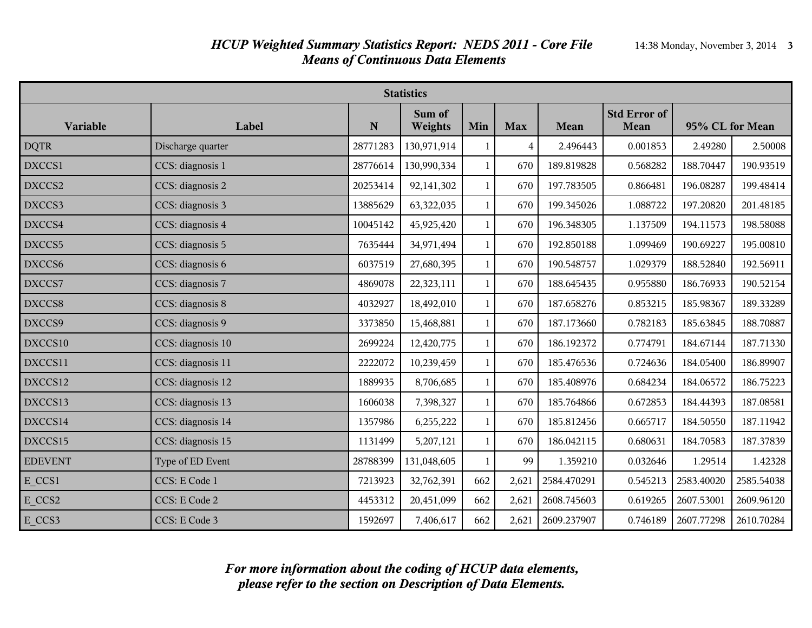| <b>Statistics</b> |                   |           |                   |              |                |             |                                    |                 |            |
|-------------------|-------------------|-----------|-------------------|--------------|----------------|-------------|------------------------------------|-----------------|------------|
| Variable          | Label             | ${\bf N}$ | Sum of<br>Weights | Min          | <b>Max</b>     | Mean        | <b>Std Error of</b><br><b>Mean</b> | 95% CL for Mean |            |
| <b>DQTR</b>       | Discharge quarter | 28771283  | 130,971,914       | 1            | $\overline{4}$ | 2.496443    | 0.001853                           | 2.49280         | 2.50008    |
| DXCCS1            | CCS: diagnosis 1  | 28776614  | 130,990,334       | $\mathbf{1}$ | 670            | 189.819828  | 0.568282                           | 188.70447       | 190.93519  |
| DXCCS2            | CCS: diagnosis 2  | 20253414  | 92,141,302        | $\mathbf{1}$ | 670            | 197.783505  | 0.866481                           | 196.08287       | 199.48414  |
| DXCCS3            | CCS: diagnosis 3  | 13885629  | 63,322,035        | $\mathbf{1}$ | 670            | 199.345026  | 1.088722                           | 197.20820       | 201.48185  |
| DXCCS4            | CCS: diagnosis 4  | 10045142  | 45,925,420        | $\mathbf{1}$ | 670            | 196.348305  | 1.137509                           | 194.11573       | 198.58088  |
| DXCCS5            | CCS: diagnosis 5  | 7635444   | 34,971,494        | $\mathbf{1}$ | 670            | 192.850188  | 1.099469                           | 190.69227       | 195.00810  |
| DXCCS6            | CCS: diagnosis 6  | 6037519   | 27,680,395        | $\mathbf{1}$ | 670            | 190.548757  | 1.029379                           | 188.52840       | 192.56911  |
| DXCCS7            | CCS: diagnosis 7  | 4869078   | 22,323,111        | $\mathbf{1}$ | 670            | 188.645435  | 0.955880                           | 186.76933       | 190.52154  |
| DXCCS8            | CCS: diagnosis 8  | 4032927   | 18,492,010        | $\mathbf{1}$ | 670            | 187.658276  | 0.853215                           | 185.98367       | 189.33289  |
| DXCCS9            | CCS: diagnosis 9  | 3373850   | 15,468,881        | $\mathbf{1}$ | 670            | 187.173660  | 0.782183                           | 185.63845       | 188.70887  |
| DXCCS10           | CCS: diagnosis 10 | 2699224   | 12,420,775        | $\mathbf{1}$ | 670            | 186.192372  | 0.774791                           | 184.67144       | 187.71330  |
| DXCCS11           | CCS: diagnosis 11 | 2222072   | 10,239,459        | $\mathbf{1}$ | 670            | 185.476536  | 0.724636                           | 184.05400       | 186.89907  |
| DXCCS12           | CCS: diagnosis 12 | 1889935   | 8,706,685         | $\mathbf{1}$ | 670            | 185.408976  | 0.684234                           | 184.06572       | 186.75223  |
| DXCCS13           | CCS: diagnosis 13 | 1606038   | 7,398,327         | $\mathbf{1}$ | 670            | 185.764866  | 0.672853                           | 184.44393       | 187.08581  |
| DXCCS14           | CCS: diagnosis 14 | 1357986   | 6,255,222         | $\mathbf{1}$ | 670            | 185.812456  | 0.665717                           | 184.50550       | 187.11942  |
| DXCCS15           | CCS: diagnosis 15 | 1131499   | 5,207,121         | $\mathbf{1}$ | 670            | 186.042115  | 0.680631                           | 184.70583       | 187.37839  |
| <b>EDEVENT</b>    | Type of ED Event  | 28788399  | 131,048,605       | 1            | 99             | 1.359210    | 0.032646                           | 1.29514         | 1.42328    |
| E CCS1            | CCS: E Code 1     | 7213923   | 32,762,391        | 662          | 2,621          | 2584.470291 | 0.545213                           | 2583.40020      | 2585.54038 |
| E CCS2            | CCS: E Code 2     | 4453312   | 20,451,099        | 662          | 2,621          | 2608.745603 | 0.619265                           | 2607.53001      | 2609.96120 |
| E CCS3            | CCS: E Code 3     | 1592697   | 7,406,617         | 662          | 2,621          | 2609.237907 | 0.746189                           | 2607.77298      | 2610.70284 |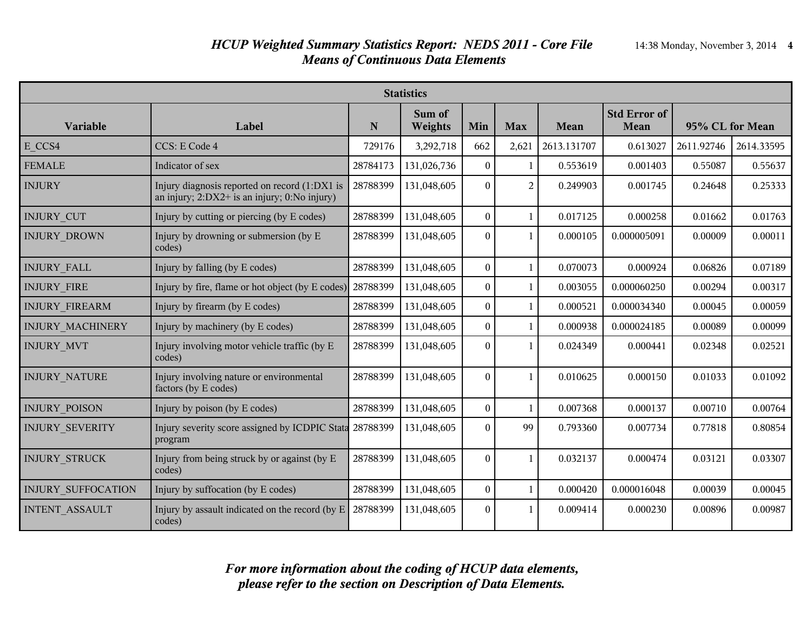| <b>Statistics</b>         |                                                                                                   |          |                   |                  |                |             |                             |                 |            |
|---------------------------|---------------------------------------------------------------------------------------------------|----------|-------------------|------------------|----------------|-------------|-----------------------------|-----------------|------------|
| <b>Variable</b>           | Label                                                                                             | N        | Sum of<br>Weights | Min              | <b>Max</b>     | Mean        | <b>Std Error of</b><br>Mean | 95% CL for Mean |            |
| E CCS4                    | CCS: E Code 4                                                                                     | 729176   | 3,292,718         | 662              | 2,621          | 2613.131707 | 0.613027                    | 2611.92746      | 2614.33595 |
| <b>FEMALE</b>             | Indicator of sex                                                                                  | 28784173 | 131,026,736       | $\theta$         | $\mathbf{1}$   | 0.553619    | 0.001403                    | 0.55087         | 0.55637    |
| <b>INJURY</b>             | Injury diagnosis reported on record (1:DX1 is<br>an injury; $2:DX2+$ is an injury; $0:No$ injury) | 28788399 | 131,048,605       | $\Omega$         | $\overline{2}$ | 0.249903    | 0.001745                    | 0.24648         | 0.25333    |
| <b>INJURY CUT</b>         | Injury by cutting or piercing (by E codes)                                                        | 28788399 | 131,048,605       | $\theta$         | $\mathbf{1}$   | 0.017125    | 0.000258                    | 0.01662         | 0.01763    |
| <b>INJURY DROWN</b>       | Injury by drowning or submersion (by E<br>codes)                                                  | 28788399 | 131,048,605       | $\mathbf{0}$     | 1              | 0.000105    | 0.000005091                 | 0.00009         | 0.00011    |
| <b>INJURY FALL</b>        | Injury by falling (by E codes)                                                                    | 28788399 | 131,048,605       | $\mathbf{0}$     | $\mathbf{1}$   | 0.070073    | 0.000924                    | 0.06826         | 0.07189    |
| <b>INJURY FIRE</b>        | Injury by fire, flame or hot object (by E codes)                                                  | 28788399 | 131,048,605       | $\Omega$         | $\mathbf{1}$   | 0.003055    | 0.000060250                 | 0.00294         | 0.00317    |
| <b>INJURY FIREARM</b>     | Injury by firearm (by E codes)                                                                    | 28788399 | 131,048,605       | $\boldsymbol{0}$ | 1              | 0.000521    | 0.000034340                 | 0.00045         | 0.00059    |
| <b>INJURY MACHINERY</b>   | Injury by machinery (by E codes)                                                                  | 28788399 | 131,048,605       | $\mathbf{0}$     | $\mathbf{1}$   | 0.000938    | 0.000024185                 | 0.00089         | 0.00099    |
| <b>INJURY MVT</b>         | Injury involving motor vehicle traffic (by E<br>codes)                                            | 28788399 | 131,048,605       | $\mathbf{0}$     | $\mathbf{1}$   | 0.024349    | 0.000441                    | 0.02348         | 0.02521    |
| INJURY_NATURE             | Injury involving nature or environmental<br>factors (by E codes)                                  | 28788399 | 131,048,605       | $\mathbf{0}$     | $\mathbf{1}$   | 0.010625    | 0.000150                    | 0.01033         | 0.01092    |
| <b>INJURY POISON</b>      | Injury by poison (by E codes)                                                                     | 28788399 | 131,048,605       | $\mathbf{0}$     | $\mathbf{1}$   | 0.007368    | 0.000137                    | 0.00710         | 0.00764    |
| <b>INJURY SEVERITY</b>    | Injury severity score assigned by ICDPIC Stata 28788399<br>program                                |          | 131,048,605       | $\mathbf{0}$     | 99             | 0.793360    | 0.007734                    | 0.77818         | 0.80854    |
| <b>INJURY STRUCK</b>      | Injury from being struck by or against (by E<br>codes)                                            | 28788399 | 131,048,605       | $\mathbf{0}$     | $\mathbf{1}$   | 0.032137    | 0.000474                    | 0.03121         | 0.03307    |
| <b>INJURY SUFFOCATION</b> | Injury by suffocation (by E codes)                                                                | 28788399 | 131,048,605       | $\mathbf{0}$     | 1              | 0.000420    | 0.000016048                 | 0.00039         | 0.00045    |
| <b>INTENT ASSAULT</b>     | Injury by assault indicated on the record (by E<br>codes)                                         | 28788399 | 131,048,605       | $\theta$         | $\mathbf{1}$   | 0.009414    | 0.000230                    | 0.00896         | 0.00987    |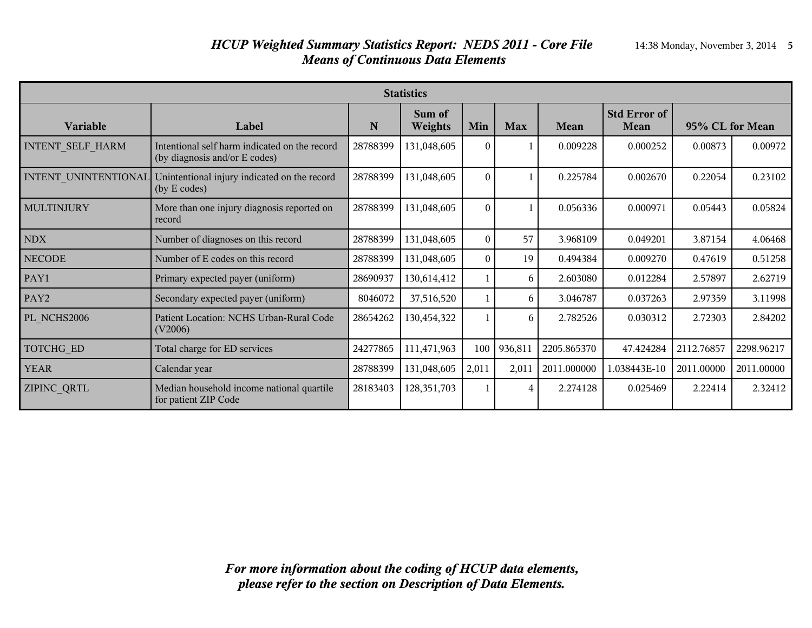#### *HCUP Weighted Summary Statistics Report: NEDS 2011 - Core File* 14:38 Monday, November 3, 2014 **5** *Means of Continuous Data Elements*

| <b>Statistics</b>       |                                                                                |          |                   |          |            |             |                                    |                 |            |
|-------------------------|--------------------------------------------------------------------------------|----------|-------------------|----------|------------|-------------|------------------------------------|-----------------|------------|
| Variable                | Label                                                                          | N        | Sum of<br>Weights | Min      | <b>Max</b> | Mean        | <b>Std Error of</b><br><b>Mean</b> | 95% CL for Mean |            |
| <b>INTENT SELF HARM</b> | Intentional self harm indicated on the record<br>(by diagnosis and/or E codes) | 28788399 | 131,048,605       | $\theta$ |            | 0.009228    | 0.000252                           | 0.00873         | 0.00972    |
| INTENT UNINTENTIONAL    | Unintentional injury indicated on the record<br>(by E codes)                   | 28788399 | 131,048,605       | $\Omega$ |            | 0.225784    | 0.002670                           | 0.22054         | 0.23102    |
| <b>MULTINJURY</b>       | More than one injury diagnosis reported on<br>record                           | 28788399 | 131,048,605       | $\theta$ |            | 0.056336    | 0.000971                           | 0.05443         | 0.05824    |
| <b>NDX</b>              | Number of diagnoses on this record                                             | 28788399 | 131,048,605       | $\theta$ | 57         | 3.968109    | 0.049201                           | 3.87154         | 4.06468    |
| <b>NECODE</b>           | Number of E codes on this record                                               | 28788399 | 131,048,605       | $\Omega$ | 19         | 0.494384    | 0.009270                           | 0.47619         | 0.51258    |
| PAY1                    | Primary expected payer (uniform)                                               | 28690937 | 130,614,412       |          | 6          | 2.603080    | 0.012284                           | 2.57897         | 2.62719    |
| PAY <sub>2</sub>        | Secondary expected payer (uniform)                                             | 8046072  | 37,516,520        |          | 6          | 3.046787    | 0.037263                           | 2.97359         | 3.11998    |
| PL NCHS2006             | Patient Location: NCHS Urban-Rural Code<br>(V2006)                             | 28654262 | 130,454,322       |          | 6          | 2.782526    | 0.030312                           | 2.72303         | 2.84202    |
| <b>TOTCHG ED</b>        | Total charge for ED services                                                   | 24277865 | 111,471,963       | 100      | 936,811    | 2205.865370 | 47.424284                          | 2112.76857      | 2298.96217 |
| <b>YEAR</b>             | Calendar year                                                                  | 28788399 | 131,048,605       | 2,011    | 2,011      | 2011.000000 | 1.038443E-10                       | 2011.00000      | 2011.00000 |
| ZIPINC_QRTL             | Median household income national quartile<br>for patient ZIP Code              | 28183403 | 128,351,703       |          | 4          | 2.274128    | 0.025469                           | 2.22414         | 2.32412    |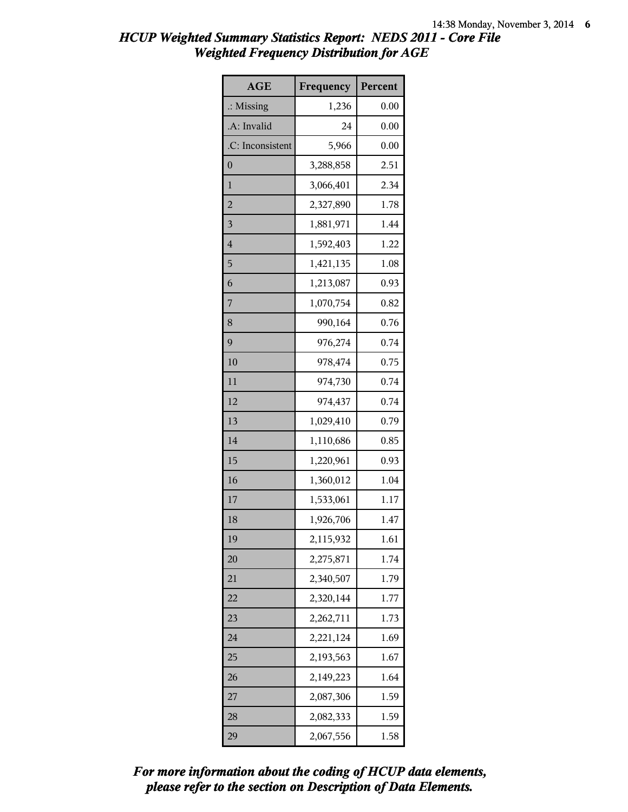| <b>AGE</b>           | Frequency | Percent |
|----------------------|-----------|---------|
| $\therefore$ Missing | 1,236     | 0.00    |
| .A: Invalid          | 24        | 0.00    |
| .C: Inconsistent     | 5,966     | 0.00    |
| 0                    | 3,288,858 | 2.51    |
| $\mathbf{1}$         | 3,066,401 | 2.34    |
| $\overline{c}$       | 2,327,890 | 1.78    |
| 3                    | 1,881,971 | 1.44    |
| $\overline{4}$       | 1,592,403 | 1.22    |
| 5                    | 1,421,135 | 1.08    |
| 6                    | 1,213,087 | 0.93    |
| 7                    | 1,070,754 | 0.82    |
| 8                    | 990,164   | 0.76    |
| 9                    | 976,274   | 0.74    |
| 10                   | 978,474   | 0.75    |
| 11                   | 974,730   | 0.74    |
| 12                   | 974,437   | 0.74    |
| 13                   | 1,029,410 | 0.79    |
| 14                   | 1,110,686 | 0.85    |
| 15                   | 1,220,961 | 0.93    |
| 16                   | 1,360,012 | 1.04    |
| 17                   | 1,533,061 | 1.17    |
| 18                   | 1,926,706 | 1.47    |
| 19                   | 2,115,932 | 1.61    |
| 20                   | 2,275,871 | 1.74    |
| 21                   | 2,340,507 | 1.79    |
| 22                   | 2,320,144 | 1.77    |
| 23                   | 2,262,711 | 1.73    |
| 24                   | 2,221,124 | 1.69    |
| 25                   | 2,193,563 | 1.67    |
| 26                   | 2,149,223 | 1.64    |
| 27                   | 2,087,306 | 1.59    |
| 28                   | 2,082,333 | 1.59    |
| 29                   | 2,067,556 | 1.58    |

*please refer to the section on Description of Data Elements. For more information about the coding of HCUP data elements,*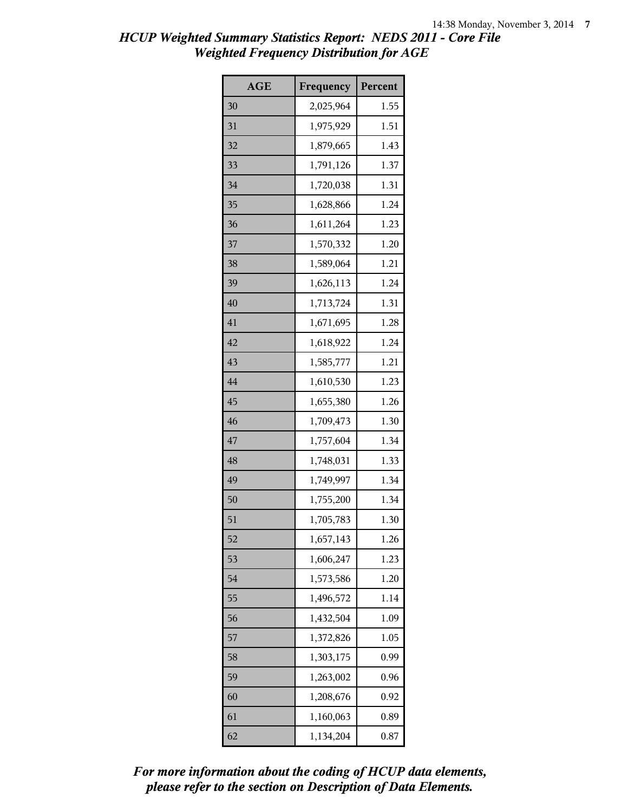| <b>AGE</b> | Frequency | Percent |
|------------|-----------|---------|
| 30         | 2,025,964 | 1.55    |
| 31         | 1,975,929 | 1.51    |
| 32         | 1,879,665 | 1.43    |
| 33         | 1,791,126 | 1.37    |
| 34         | 1,720,038 | 1.31    |
| 35         | 1,628,866 | 1.24    |
| 36         | 1,611,264 | 1.23    |
| 37         | 1,570,332 | 1.20    |
| 38         | 1,589,064 | 1.21    |
| 39         | 1,626,113 | 1.24    |
| 40         | 1,713,724 | 1.31    |
| 41         | 1,671,695 | 1.28    |
| 42         | 1,618,922 | 1.24    |
| 43         | 1,585,777 | 1.21    |
| 44         | 1,610,530 | 1.23    |
| 45         | 1,655,380 | 1.26    |
| 46         | 1,709,473 | 1.30    |
| 47         | 1,757,604 | 1.34    |
| 48         | 1,748,031 | 1.33    |
| 49         | 1,749,997 | 1.34    |
| 50         | 1,755,200 | 1.34    |
| 51         | 1,705,783 | 1.30    |
| 52         | 1,657,143 | 1.26    |
| 53         | 1,606,247 | 1.23    |
| 54         | 1,573,586 | 1.20    |
| 55         | 1,496,572 | 1.14    |
| 56         | 1,432,504 | 1.09    |
| 57         | 1,372,826 | 1.05    |
| 58         | 1,303,175 | 0.99    |
| 59         | 1,263,002 | 0.96    |
| 60         | 1,208,676 | 0.92    |
| 61         | 1,160,063 | 0.89    |
| 62         | 1,134,204 | 0.87    |

*please refer to the section on Description of Data Elements. For more information about the coding of HCUP data elements,*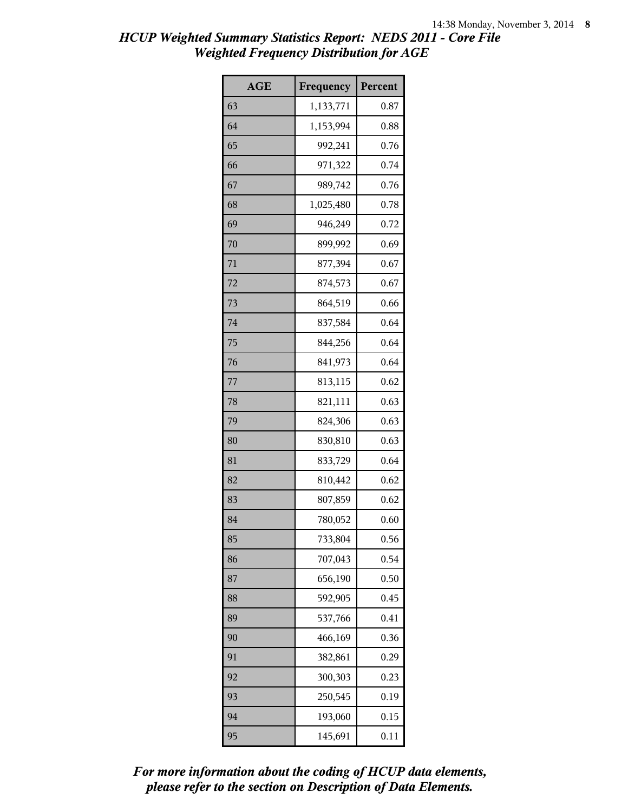| <b>AGE</b> | Frequency | Percent |
|------------|-----------|---------|
| 63         | 1,133,771 | 0.87    |
| 64         | 1,153,994 | 0.88    |
| 65         | 992,241   | 0.76    |
| 66         | 971,322   | 0.74    |
| 67         | 989,742   | 0.76    |
| 68         | 1,025,480 | 0.78    |
| 69         | 946,249   | 0.72    |
| 70         | 899,992   | 0.69    |
| 71         | 877,394   | 0.67    |
| 72         | 874,573   | 0.67    |
| 73         | 864,519   | 0.66    |
| 74         | 837,584   | 0.64    |
| 75         | 844,256   | 0.64    |
| 76         | 841,973   | 0.64    |
| 77         | 813,115   | 0.62    |
| 78         | 821,111   | 0.63    |
| 79         | 824,306   | 0.63    |
| 80         | 830,810   | 0.63    |
| 81         | 833,729   | 0.64    |
| 82         | 810,442   | 0.62    |
| 83         | 807,859   | 0.62    |
| 84         | 780,052   | 0.60    |
| 85         | 733,804   | 0.56    |
| 86         | 707,043   | 0.54    |
| 87         | 656,190   | 0.50    |
| 88         | 592,905   | 0.45    |
| 89         | 537,766   | 0.41    |
| 90         | 466,169   | 0.36    |
| 91         | 382,861   | 0.29    |
| 92         | 300,303   | 0.23    |
| 93         | 250,545   | 0.19    |
| 94         | 193,060   | 0.15    |
| 95         | 145,691   | 0.11    |

*please refer to the section on Description of Data Elements. For more information about the coding of HCUP data elements,*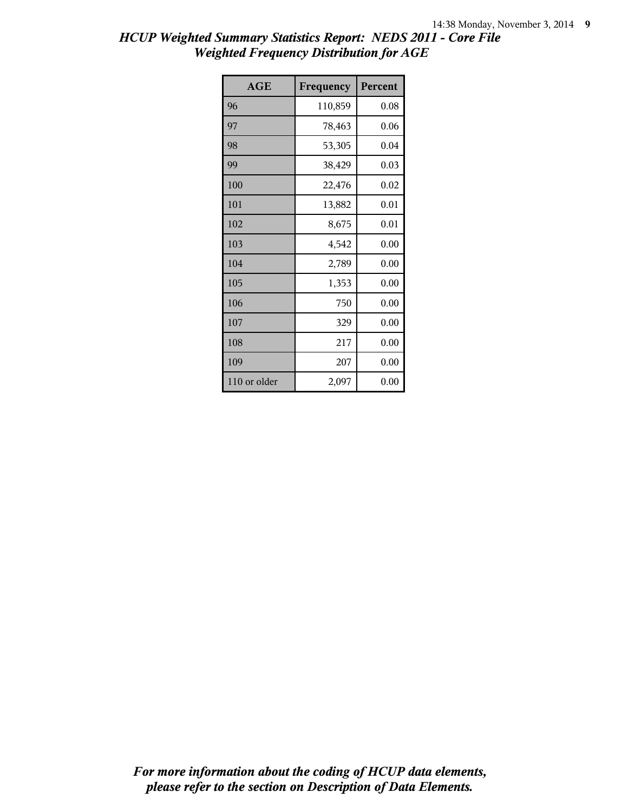| <b>AGE</b>   | Frequency | Percent |
|--------------|-----------|---------|
| 96           | 110,859   | 0.08    |
| 97           | 78,463    | 0.06    |
| 98           | 53,305    | 0.04    |
| 99           | 38,429    | 0.03    |
| 100          | 22,476    | 0.02    |
| 101          | 13,882    | 0.01    |
| 102          | 8,675     | 0.01    |
| 103          | 4,542     | 0.00    |
| 104          | 2,789     | 0.00    |
| 105          | 1,353     | 0.00    |
| 106          | 750       | 0.00    |
| 107          | 329       | 0.00    |
| 108          | 217       | 0.00    |
| 109          | 207       | 0.00    |
| 110 or older | 2,097     | 0.00    |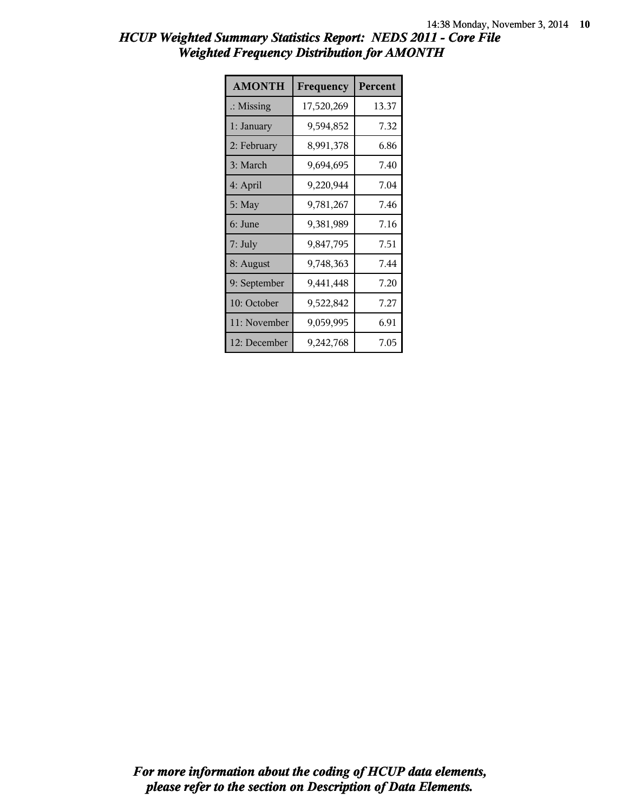| HCUP Weighted Summary Statistics Report: NEDS 2011 - Core File |                                                   |  |
|----------------------------------------------------------------|---------------------------------------------------|--|
|                                                                | <b>Weighted Frequency Distribution for AMONTH</b> |  |

| <b>AMONTH</b>        | Frequency  | Percent |
|----------------------|------------|---------|
| $\therefore$ Missing | 17,520,269 | 13.37   |
| 1: January           | 9,594,852  | 7.32    |
| 2: February          | 8,991,378  | 6.86    |
| 3: March             | 9,694,695  | 7.40    |
| 4: April             | 9,220,944  | 7.04    |
| $5:$ May             | 9,781,267  | 7.46    |
| 6: June              | 9,381,989  | 7.16    |
| $7:$ July            | 9,847,795  | 7.51    |
| 8: August            | 9,748,363  | 7.44    |
| 9: September         | 9,441,448  | 7.20    |
| 10: October          | 9,522,842  | 7.27    |
| 11: November         | 9,059,995  | 6.91    |
| 12: December         | 9,242,768  | 7.05    |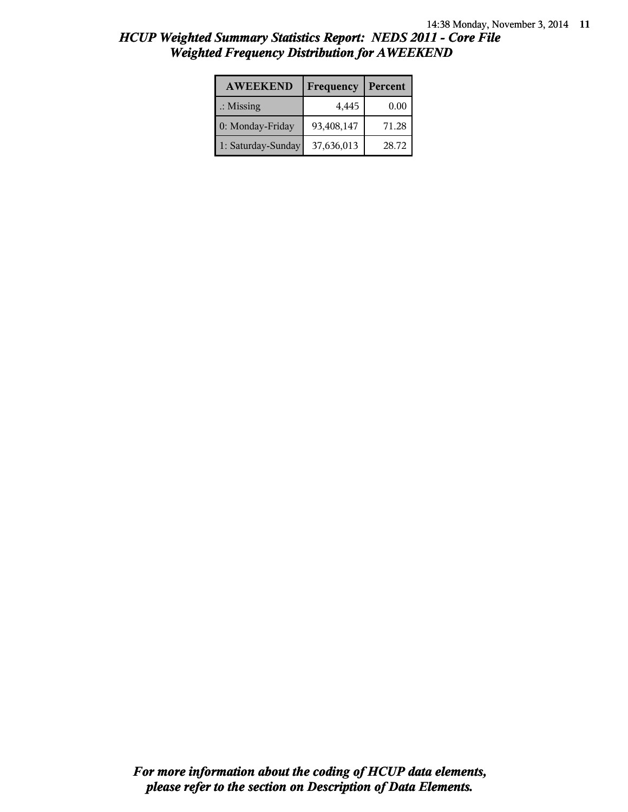| <b>AWEEKEND</b>      | Frequency  | Percent |
|----------------------|------------|---------|
| $\therefore$ Missing | 4,445      | 0.00    |
| 0: Monday-Friday     | 93,408,147 | 71.28   |
| 1: Saturday-Sunday   | 37,636,013 | 28.72   |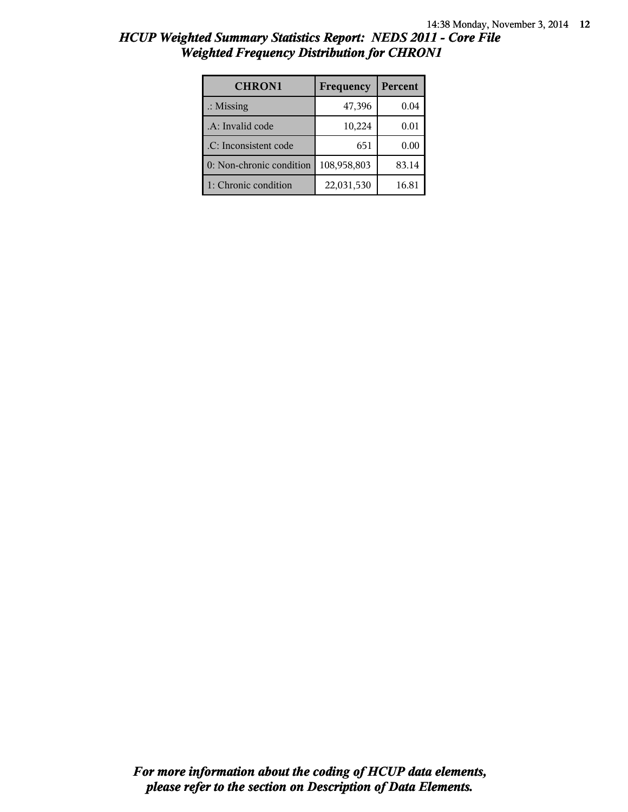| $\cdots$ $\cdots$    |           |          |
|----------------------|-----------|----------|
| <b>CHRON1</b>        | Frequency | Percent  |
| $\therefore$ Missing | 47,396    | 0.04     |
| A: Invalid code      | 10,224    | $0.01\,$ |
|                      |           |          |

 $\therefore$  Inconsistent code 651 0.00 0: Non-chronic condition  $|108,958,803|$  83.14 1: Chronic condition 22,031,530 16.81

#### *HCUP Weighted Summary Statistics Report: NEDS 2011 - Core File Weighted Frequency Distribution for CHRON1*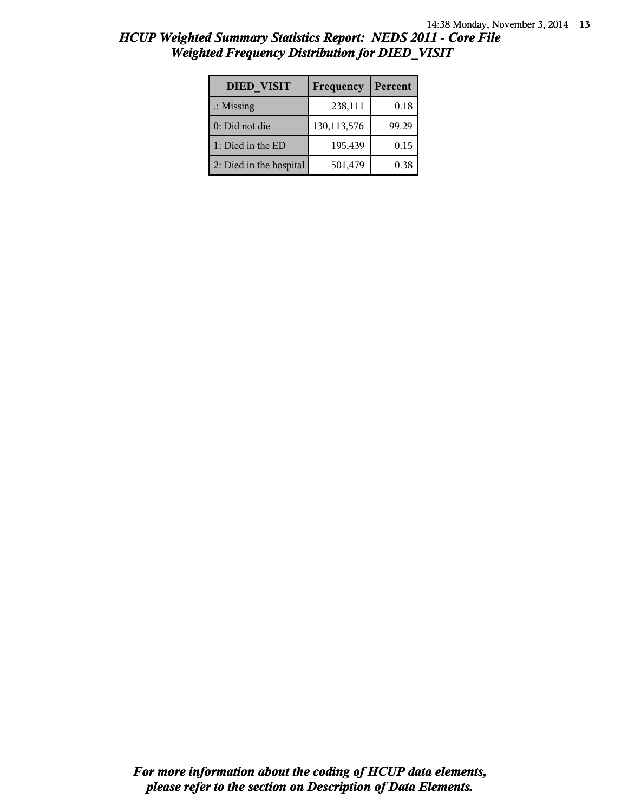| <b>DIED VISIT</b>       | Frequency   | Percent |
|-------------------------|-------------|---------|
| $\therefore$ Missing    | 238,111     | 0.18    |
| 0: Did not die          | 130,113,576 | 99.29   |
| 1: Died in the ED       | 195,439     | 0.15    |
| 2: Died in the hospital | 501,479     | 0.38    |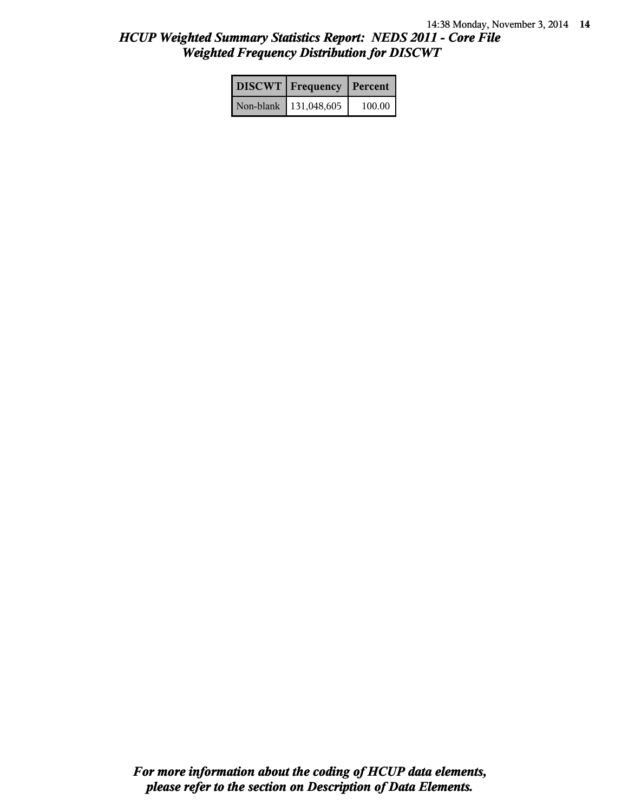| <b>DISCWT</b>   Frequency   Percent |        |
|-------------------------------------|--------|
| Non-blank   131,048,605             | 100.00 |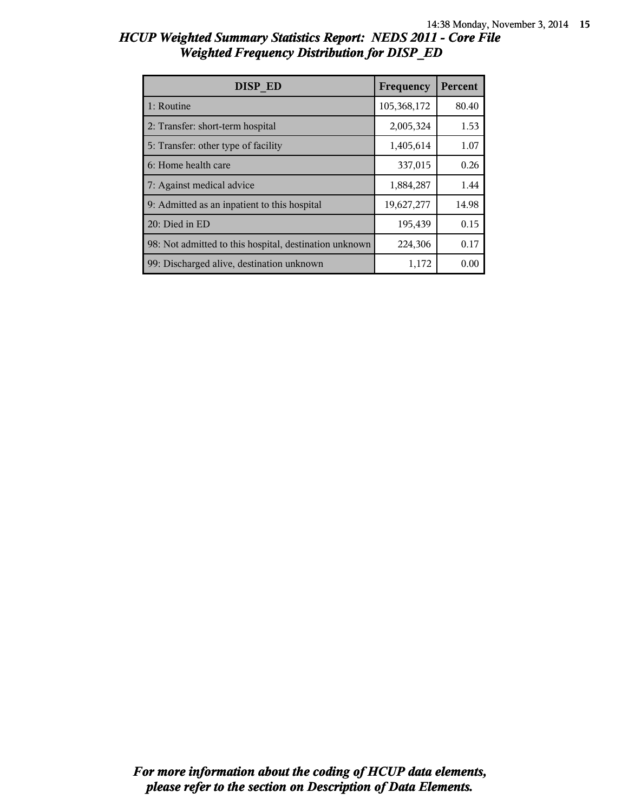| DISP ED                                                | Frequency   | Percent |
|--------------------------------------------------------|-------------|---------|
| 1: Routine                                             | 105,368,172 | 80.40   |
| 2: Transfer: short-term hospital                       | 2,005,324   | 1.53    |
| 5: Transfer: other type of facility                    | 1,405,614   | 1.07    |
| 6: Home health care                                    | 337,015     | 0.26    |
| 7: Against medical advice                              | 1,884,287   | 1.44    |
| 9: Admitted as an inpatient to this hospital           | 19,627,277  | 14.98   |
| 20: Died in ED                                         | 195,439     | 0.15    |
| 98: Not admitted to this hospital, destination unknown | 224,306     | 0.17    |
| 99: Discharged alive, destination unknown              | 1,172       | 0.00    |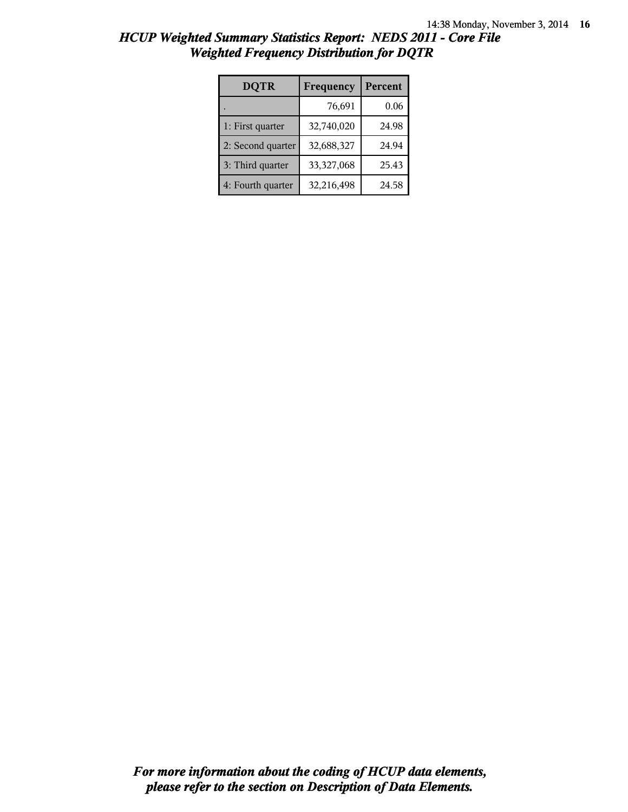| <b>DQTR</b>       | Frequency  | Percent |
|-------------------|------------|---------|
|                   | 76,691     | 0.06    |
| 1: First quarter  | 32,740,020 | 24.98   |
| 2: Second quarter | 32,688,327 | 24.94   |
| 3: Third quarter  | 33,327,068 | 25.43   |
| 4: Fourth quarter | 32,216,498 | 24.58   |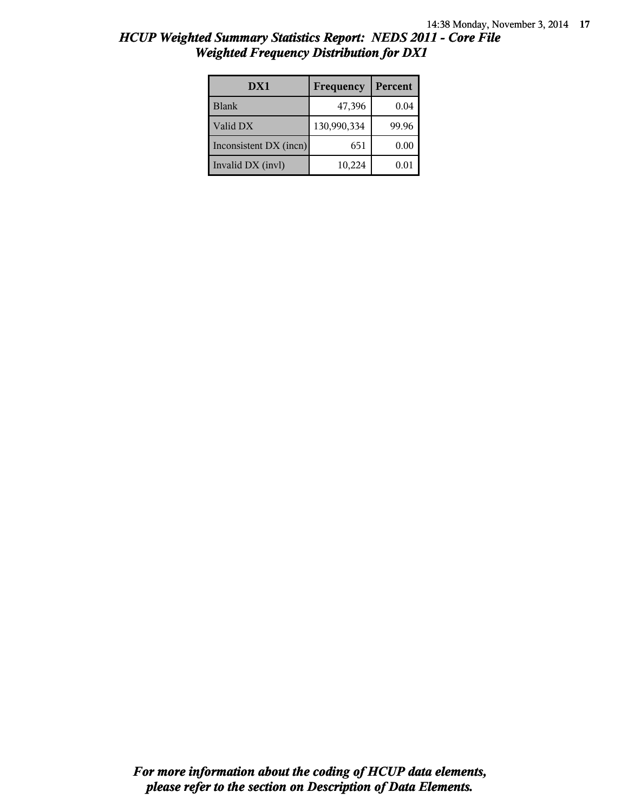| DX1                    | Frequency   | Percent |
|------------------------|-------------|---------|
| <b>Blank</b>           | 47,396      | 0.04    |
| Valid DX               | 130,990,334 | 99.96   |
| Inconsistent DX (incn) | 651         | 0.00    |
| Invalid DX (invl)      | 10,224      | 0.01    |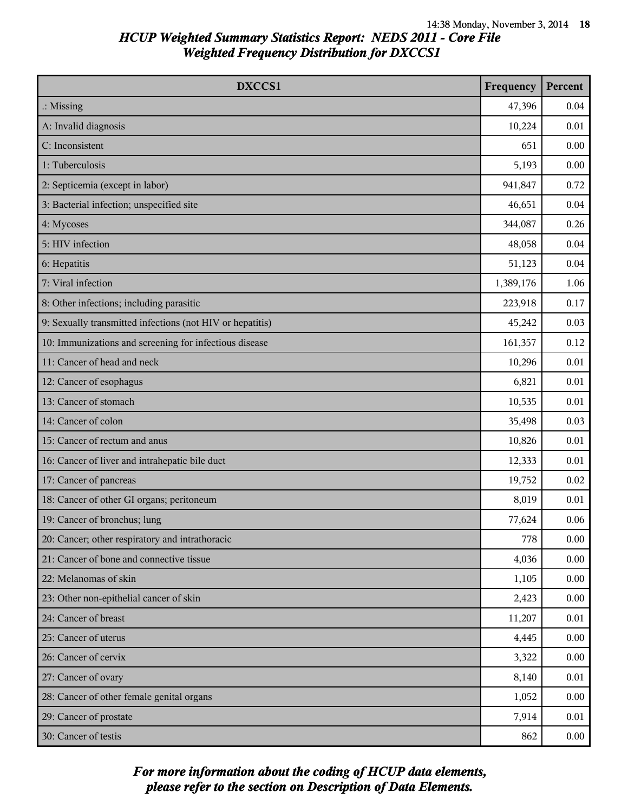| DXCCS1                                                    | Frequency | Percent |
|-----------------------------------------------------------|-----------|---------|
| $\therefore$ Missing                                      | 47,396    | 0.04    |
| A: Invalid diagnosis                                      | 10,224    | 0.01    |
| C: Inconsistent                                           | 651       | 0.00    |
| 1: Tuberculosis                                           | 5,193     | 0.00    |
| 2: Septicemia (except in labor)                           | 941,847   | 0.72    |
| 3: Bacterial infection; unspecified site                  | 46,651    | 0.04    |
| 4: Mycoses                                                | 344,087   | 0.26    |
| 5: HIV infection                                          | 48,058    | 0.04    |
| 6: Hepatitis                                              | 51,123    | 0.04    |
| 7: Viral infection                                        | 1,389,176 | 1.06    |
| 8: Other infections; including parasitic                  | 223,918   | 0.17    |
| 9: Sexually transmitted infections (not HIV or hepatitis) | 45,242    | 0.03    |
| 10: Immunizations and screening for infectious disease    | 161,357   | 0.12    |
| 11: Cancer of head and neck                               | 10,296    | 0.01    |
| 12: Cancer of esophagus                                   | 6,821     | 0.01    |
| 13: Cancer of stomach                                     | 10,535    | 0.01    |
| 14: Cancer of colon                                       | 35,498    | 0.03    |
| 15: Cancer of rectum and anus                             | 10,826    | 0.01    |
| 16: Cancer of liver and intrahepatic bile duct            | 12,333    | 0.01    |
| 17: Cancer of pancreas                                    | 19,752    | 0.02    |
| 18: Cancer of other GI organs; peritoneum                 | 8,019     | 0.01    |
| 19: Cancer of bronchus; lung                              | 77,624    | 0.06    |
| 20: Cancer; other respiratory and intrathoracic           | 778       | 0.00    |
| 21: Cancer of bone and connective tissue                  | 4,036     | 0.00    |
| 22: Melanomas of skin                                     | 1,105     | 0.00    |
| 23: Other non-epithelial cancer of skin                   | 2,423     | 0.00    |
| 24: Cancer of breast                                      | 11,207    | 0.01    |
| 25: Cancer of uterus                                      | 4,445     | 0.00    |
| 26: Cancer of cervix                                      | 3,322     | 0.00    |
| 27: Cancer of ovary                                       | 8,140     | 0.01    |
| 28: Cancer of other female genital organs                 | 1,052     | 0.00    |
| 29: Cancer of prostate                                    | 7,914     | 0.01    |
| 30: Cancer of testis                                      | 862       | 0.00    |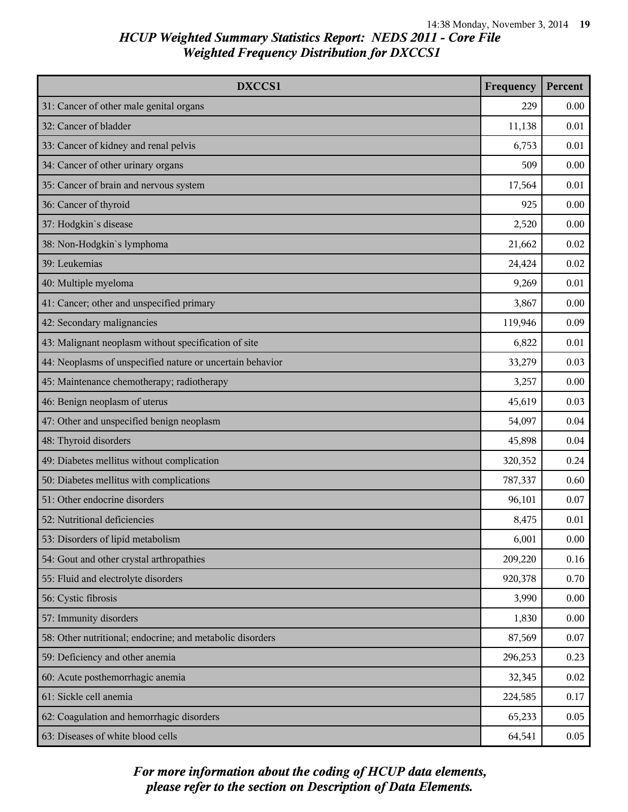| DXCCS1                                                    | Frequency | Percent |
|-----------------------------------------------------------|-----------|---------|
| 31: Cancer of other male genital organs                   | 229       | 0.00    |
| 32: Cancer of bladder                                     | 11,138    | 0.01    |
| 33: Cancer of kidney and renal pelvis                     | 6,753     | 0.01    |
| 34: Cancer of other urinary organs                        | 509       | 0.00    |
| 35: Cancer of brain and nervous system                    | 17,564    | 0.01    |
| 36: Cancer of thyroid                                     | 925       | 0.00    |
| 37: Hodgkin's disease                                     | 2,520     | 0.00    |
| 38: Non-Hodgkin's lymphoma                                | 21,662    | 0.02    |
| 39: Leukemias                                             | 24,424    | 0.02    |
| 40: Multiple myeloma                                      | 9,269     | 0.01    |
| 41: Cancer; other and unspecified primary                 | 3,867     | 0.00    |
| 42: Secondary malignancies                                | 119,946   | 0.09    |
| 43: Malignant neoplasm without specification of site      | 6,822     | 0.01    |
| 44: Neoplasms of unspecified nature or uncertain behavior | 33,279    | 0.03    |
| 45: Maintenance chemotherapy; radiotherapy                | 3,257     | 0.00    |
| 46: Benign neoplasm of uterus                             | 45,619    | 0.03    |
| 47: Other and unspecified benign neoplasm                 | 54,097    | 0.04    |
| 48: Thyroid disorders                                     | 45,898    | 0.04    |
| 49: Diabetes mellitus without complication                | 320,352   | 0.24    |
| 50: Diabetes mellitus with complications                  | 787,337   | 0.60    |
| 51: Other endocrine disorders                             | 96,101    | 0.07    |
| 52: Nutritional deficiencies                              | 8,475     | 0.01    |
| 53: Disorders of lipid metabolism                         | 6,001     | 0.00    |
| 54: Gout and other crystal arthropathies                  | 209,220   | 0.16    |
| 55: Fluid and electrolyte disorders                       | 920,378   | 0.70    |
| 56: Cystic fibrosis                                       | 3,990     | 0.00    |
| 57: Immunity disorders                                    | 1,830     | 0.00    |
| 58: Other nutritional; endocrine; and metabolic disorders | 87,569    | 0.07    |
| 59: Deficiency and other anemia                           | 296,253   | 0.23    |
| 60: Acute posthemorrhagic anemia                          | 32,345    | 0.02    |
| 61: Sickle cell anemia                                    | 224,585   | 0.17    |
| 62: Coagulation and hemorrhagic disorders                 | 65,233    | 0.05    |
| 63: Diseases of white blood cells                         | 64,541    | 0.05    |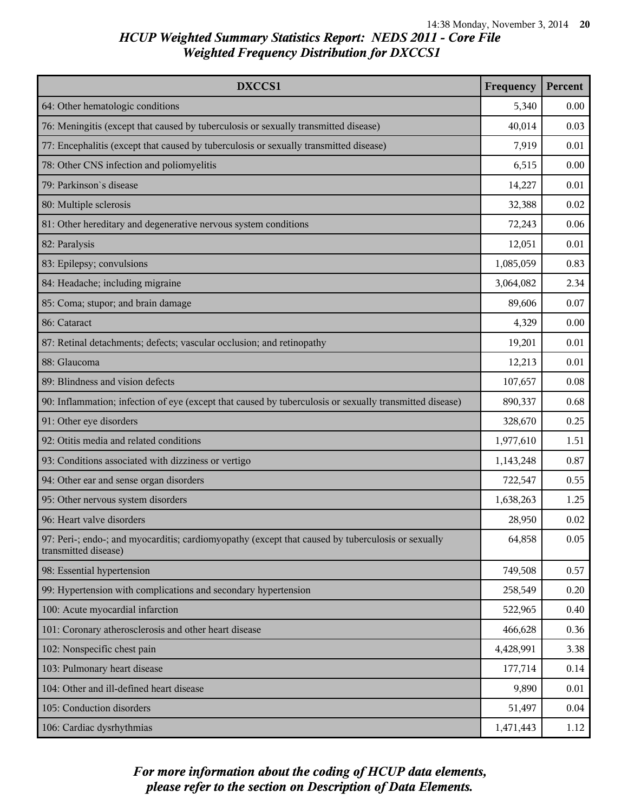| DXCCS1                                                                                                                    | Frequency | Percent |
|---------------------------------------------------------------------------------------------------------------------------|-----------|---------|
| 64: Other hematologic conditions                                                                                          | 5,340     | 0.00    |
| 76: Meningitis (except that caused by tuberculosis or sexually transmitted disease)                                       | 40,014    | 0.03    |
| 77: Encephalitis (except that caused by tuberculosis or sexually transmitted disease)                                     | 7,919     | 0.01    |
| 78: Other CNS infection and poliomyelitis                                                                                 | 6,515     | 0.00    |
| 79: Parkinson's disease                                                                                                   | 14,227    | 0.01    |
| 80: Multiple sclerosis                                                                                                    | 32,388    | 0.02    |
| 81: Other hereditary and degenerative nervous system conditions                                                           | 72,243    | 0.06    |
| 82: Paralysis                                                                                                             | 12,051    | 0.01    |
| 83: Epilepsy; convulsions                                                                                                 | 1,085,059 | 0.83    |
| 84: Headache; including migraine                                                                                          | 3,064,082 | 2.34    |
| 85: Coma; stupor; and brain damage                                                                                        | 89,606    | 0.07    |
| 86: Cataract                                                                                                              | 4,329     | 0.00    |
| 87: Retinal detachments; defects; vascular occlusion; and retinopathy                                                     | 19,201    | 0.01    |
| 88: Glaucoma                                                                                                              | 12,213    | 0.01    |
| 89: Blindness and vision defects                                                                                          | 107,657   | 0.08    |
| 90: Inflammation; infection of eye (except that caused by tuberculosis or sexually transmitted disease)                   | 890,337   | 0.68    |
| 91: Other eye disorders                                                                                                   | 328,670   | 0.25    |
| 92: Otitis media and related conditions                                                                                   | 1,977,610 | 1.51    |
| 93: Conditions associated with dizziness or vertigo                                                                       | 1,143,248 | 0.87    |
| 94: Other ear and sense organ disorders                                                                                   | 722,547   | 0.55    |
| 95: Other nervous system disorders                                                                                        | 1,638,263 | 1.25    |
| 96: Heart valve disorders                                                                                                 | 28,950    | 0.02    |
| 97: Peri-; endo-; and myocarditis; cardiomyopathy (except that caused by tuberculosis or sexually<br>transmitted disease) | 64,858    | 0.05    |
| 98: Essential hypertension                                                                                                | 749,508   | 0.57    |
| 99: Hypertension with complications and secondary hypertension                                                            | 258,549   | 0.20    |
| 100: Acute myocardial infarction                                                                                          | 522,965   | 0.40    |
| 101: Coronary atherosclerosis and other heart disease                                                                     | 466,628   | 0.36    |
| 102: Nonspecific chest pain                                                                                               | 4,428,991 | 3.38    |
| 103: Pulmonary heart disease                                                                                              | 177,714   | 0.14    |
| 104: Other and ill-defined heart disease                                                                                  | 9,890     | 0.01    |
| 105: Conduction disorders                                                                                                 | 51,497    | 0.04    |
| 106: Cardiac dysrhythmias                                                                                                 | 1,471,443 | 1.12    |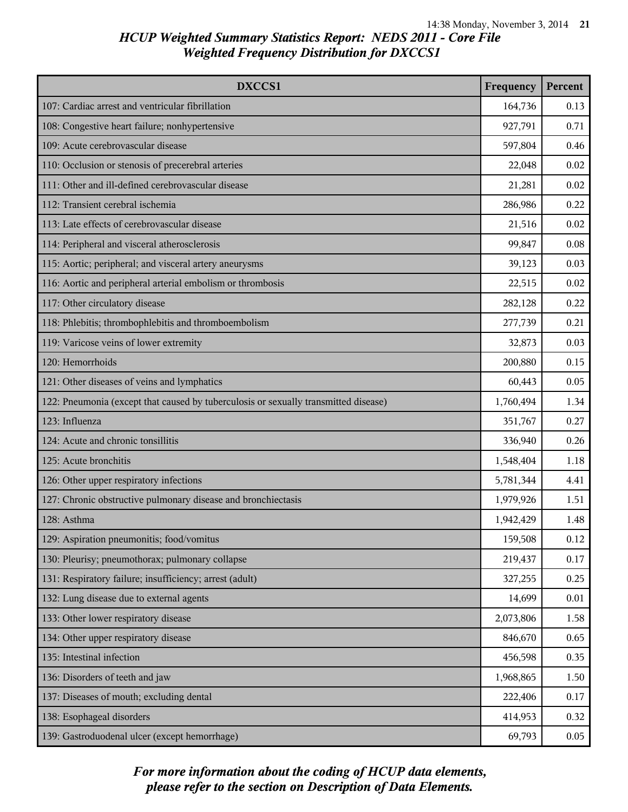| DXCCS1                                                                              | Frequency | Percent |
|-------------------------------------------------------------------------------------|-----------|---------|
| 107: Cardiac arrest and ventricular fibrillation                                    | 164,736   | 0.13    |
| 108: Congestive heart failure; nonhypertensive                                      | 927,791   | 0.71    |
| 109: Acute cerebrovascular disease                                                  | 597,804   | 0.46    |
| 110: Occlusion or stenosis of precerebral arteries                                  | 22,048    | 0.02    |
| 111: Other and ill-defined cerebrovascular disease                                  | 21,281    | 0.02    |
| 112: Transient cerebral ischemia                                                    | 286,986   | 0.22    |
| 113: Late effects of cerebrovascular disease                                        | 21,516    | 0.02    |
| 114: Peripheral and visceral atherosclerosis                                        | 99,847    | 0.08    |
| 115: Aortic; peripheral; and visceral artery aneurysms                              | 39,123    | 0.03    |
| 116: Aortic and peripheral arterial embolism or thrombosis                          | 22,515    | 0.02    |
| 117: Other circulatory disease                                                      | 282,128   | 0.22    |
| 118: Phlebitis; thrombophlebitis and thromboembolism                                | 277,739   | 0.21    |
| 119: Varicose veins of lower extremity                                              | 32,873    | 0.03    |
| 120: Hemorrhoids                                                                    | 200,880   | 0.15    |
| 121: Other diseases of veins and lymphatics                                         | 60,443    | 0.05    |
| 122: Pneumonia (except that caused by tuberculosis or sexually transmitted disease) | 1,760,494 | 1.34    |
| 123: Influenza                                                                      | 351,767   | 0.27    |
| 124: Acute and chronic tonsillitis                                                  | 336,940   | 0.26    |
| 125: Acute bronchitis                                                               | 1,548,404 | 1.18    |
| 126: Other upper respiratory infections                                             | 5,781,344 | 4.41    |
| 127: Chronic obstructive pulmonary disease and bronchiectasis                       | 1,979,926 | 1.51    |
| 128: Asthma                                                                         | 1,942,429 | 1.48    |
| 129: Aspiration pneumonitis; food/vomitus                                           | 159,508   | 0.12    |
| 130: Pleurisy; pneumothorax; pulmonary collapse                                     | 219,437   | 0.17    |
| 131: Respiratory failure; insufficiency; arrest (adult)                             | 327,255   | 0.25    |
| 132: Lung disease due to external agents                                            | 14,699    | 0.01    |
| 133: Other lower respiratory disease                                                | 2,073,806 | 1.58    |
| 134: Other upper respiratory disease                                                | 846,670   | 0.65    |
| 135: Intestinal infection                                                           | 456,598   | 0.35    |
| 136: Disorders of teeth and jaw                                                     | 1,968,865 | 1.50    |
| 137: Diseases of mouth; excluding dental                                            | 222,406   | 0.17    |
| 138: Esophageal disorders                                                           | 414,953   | 0.32    |
| 139: Gastroduodenal ulcer (except hemorrhage)                                       | 69,793    | 0.05    |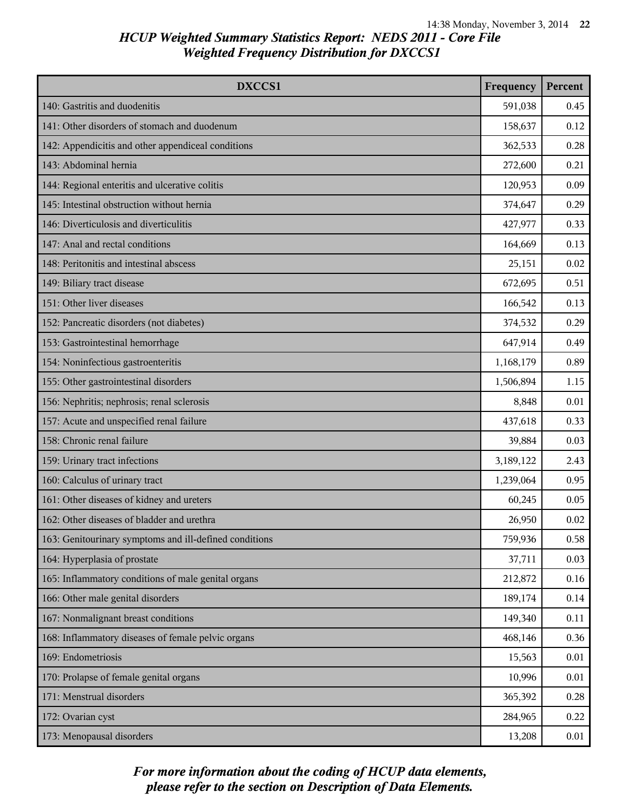| DXCCS1                                                 | Frequency | Percent |
|--------------------------------------------------------|-----------|---------|
| 140: Gastritis and duodenitis                          | 591,038   | 0.45    |
| 141: Other disorders of stomach and duodenum           | 158,637   | 0.12    |
| 142: Appendicitis and other appendiceal conditions     | 362,533   | 0.28    |
| 143: Abdominal hernia                                  | 272,600   | 0.21    |
| 144: Regional enteritis and ulcerative colitis         | 120,953   | 0.09    |
| 145: Intestinal obstruction without hernia             | 374,647   | 0.29    |
| 146: Diverticulosis and diverticulitis                 | 427,977   | 0.33    |
| 147: Anal and rectal conditions                        | 164,669   | 0.13    |
| 148: Peritonitis and intestinal abscess                | 25,151    | 0.02    |
| 149: Biliary tract disease                             | 672,695   | 0.51    |
| 151: Other liver diseases                              | 166,542   | 0.13    |
| 152: Pancreatic disorders (not diabetes)               | 374,532   | 0.29    |
| 153: Gastrointestinal hemorrhage                       | 647,914   | 0.49    |
| 154: Noninfectious gastroenteritis                     | 1,168,179 | 0.89    |
| 155: Other gastrointestinal disorders                  | 1,506,894 | 1.15    |
| 156: Nephritis; nephrosis; renal sclerosis             | 8,848     | 0.01    |
| 157: Acute and unspecified renal failure               | 437,618   | 0.33    |
| 158: Chronic renal failure                             | 39,884    | 0.03    |
| 159: Urinary tract infections                          | 3,189,122 | 2.43    |
| 160: Calculus of urinary tract                         | 1,239,064 | 0.95    |
| 161: Other diseases of kidney and ureters              | 60,245    | 0.05    |
| 162: Other diseases of bladder and urethra             | 26,950    | 0.02    |
| 163: Genitourinary symptoms and ill-defined conditions | 759,936   | 0.58    |
| 164: Hyperplasia of prostate                           | 37,711    | 0.03    |
| 165: Inflammatory conditions of male genital organs    | 212,872   | 0.16    |
| 166: Other male genital disorders                      | 189,174   | 0.14    |
| 167: Nonmalignant breast conditions                    | 149,340   | 0.11    |
| 168: Inflammatory diseases of female pelvic organs     | 468,146   | 0.36    |
| 169: Endometriosis                                     | 15,563    | 0.01    |
| 170: Prolapse of female genital organs                 | 10,996    | 0.01    |
| 171: Menstrual disorders                               | 365,392   | 0.28    |
| 172: Ovarian cyst                                      | 284,965   | 0.22    |
| 173: Menopausal disorders                              | 13,208    | 0.01    |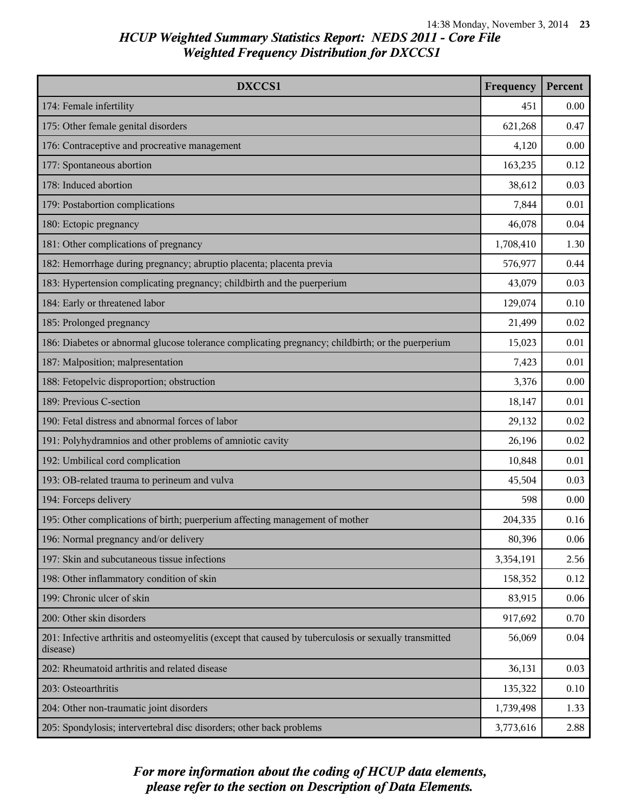| DXCCS1                                                                                                             | Frequency | Percent |
|--------------------------------------------------------------------------------------------------------------------|-----------|---------|
| 174: Female infertility                                                                                            | 451       | 0.00    |
| 175: Other female genital disorders                                                                                | 621,268   | 0.47    |
| 176: Contraceptive and procreative management                                                                      | 4,120     | 0.00    |
| 177: Spontaneous abortion                                                                                          | 163,235   | 0.12    |
| 178: Induced abortion                                                                                              | 38,612    | 0.03    |
| 179: Postabortion complications                                                                                    | 7,844     | 0.01    |
| 180: Ectopic pregnancy                                                                                             | 46,078    | 0.04    |
| 181: Other complications of pregnancy                                                                              | 1,708,410 | 1.30    |
| 182: Hemorrhage during pregnancy; abruptio placenta; placenta previa                                               | 576,977   | 0.44    |
| 183: Hypertension complicating pregnancy; childbirth and the puerperium                                            | 43,079    | 0.03    |
| 184: Early or threatened labor                                                                                     | 129,074   | 0.10    |
| 185: Prolonged pregnancy                                                                                           | 21,499    | 0.02    |
| 186: Diabetes or abnormal glucose tolerance complicating pregnancy; childbirth; or the puerperium                  | 15,023    | 0.01    |
| 187: Malposition; malpresentation                                                                                  | 7,423     | 0.01    |
| 188: Fetopelvic disproportion; obstruction                                                                         | 3,376     | 0.00    |
| 189: Previous C-section                                                                                            | 18,147    | 0.01    |
| 190: Fetal distress and abnormal forces of labor                                                                   | 29,132    | 0.02    |
| 191: Polyhydramnios and other problems of amniotic cavity                                                          | 26,196    | 0.02    |
| 192: Umbilical cord complication                                                                                   | 10,848    | 0.01    |
| 193: OB-related trauma to perineum and vulva                                                                       | 45,504    | 0.03    |
| 194: Forceps delivery                                                                                              | 598       | 0.00    |
| 195: Other complications of birth; puerperium affecting management of mother                                       | 204,335   | 0.16    |
| 196: Normal pregnancy and/or delivery                                                                              | 80,396    | 0.06    |
| 197: Skin and subcutaneous tissue infections                                                                       | 3,354,191 | 2.56    |
| 198: Other inflammatory condition of skin                                                                          | 158,352   | 0.12    |
| 199: Chronic ulcer of skin                                                                                         | 83,915    | 0.06    |
| 200: Other skin disorders                                                                                          | 917,692   | 0.70    |
| 201: Infective arthritis and osteomyelitis (except that caused by tuberculosis or sexually transmitted<br>disease) | 56,069    | 0.04    |
| 202: Rheumatoid arthritis and related disease                                                                      | 36,131    | 0.03    |
| 203: Osteoarthritis                                                                                                | 135,322   | 0.10    |
| 204: Other non-traumatic joint disorders                                                                           | 1,739,498 | 1.33    |
| 205: Spondylosis; intervertebral disc disorders; other back problems                                               | 3,773,616 | 2.88    |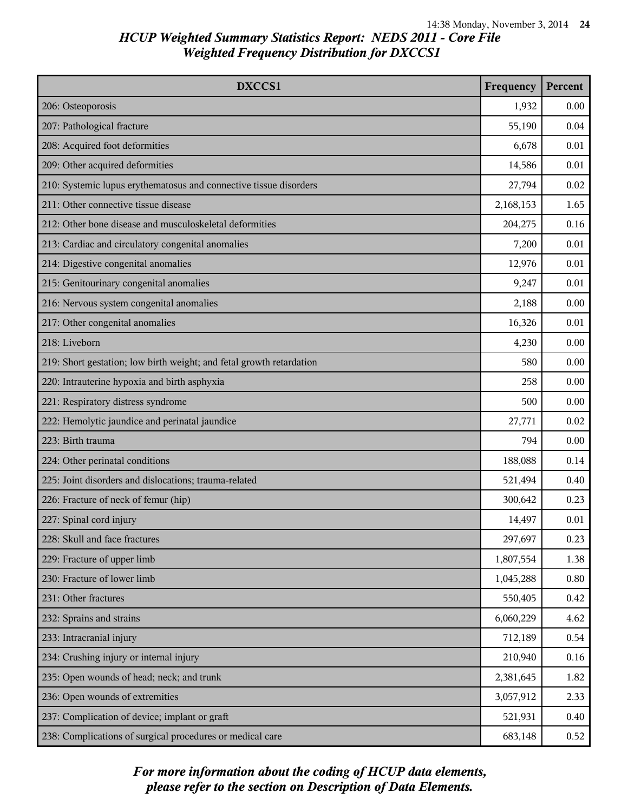| DXCCS1                                                               | Frequency | Percent |
|----------------------------------------------------------------------|-----------|---------|
| 206: Osteoporosis                                                    | 1,932     | 0.00    |
| 207: Pathological fracture                                           | 55,190    | 0.04    |
| 208: Acquired foot deformities                                       | 6,678     | 0.01    |
| 209: Other acquired deformities                                      | 14,586    | 0.01    |
| 210: Systemic lupus erythematosus and connective tissue disorders    | 27,794    | 0.02    |
| 211: Other connective tissue disease                                 | 2,168,153 | 1.65    |
| 212: Other bone disease and musculoskeletal deformities              | 204,275   | 0.16    |
| 213: Cardiac and circulatory congenital anomalies                    | 7,200     | 0.01    |
| 214: Digestive congenital anomalies                                  | 12,976    | 0.01    |
| 215: Genitourinary congenital anomalies                              | 9,247     | 0.01    |
| 216: Nervous system congenital anomalies                             | 2,188     | 0.00    |
| 217: Other congenital anomalies                                      | 16,326    | 0.01    |
| 218: Liveborn                                                        | 4,230     | 0.00    |
| 219: Short gestation; low birth weight; and fetal growth retardation | 580       | 0.00    |
| 220: Intrauterine hypoxia and birth asphyxia                         | 258       | 0.00    |
| 221: Respiratory distress syndrome                                   | 500       | 0.00    |
| 222: Hemolytic jaundice and perinatal jaundice                       | 27,771    | 0.02    |
| 223: Birth trauma                                                    | 794       | 0.00    |
| 224: Other perinatal conditions                                      | 188,088   | 0.14    |
| 225: Joint disorders and dislocations; trauma-related                | 521,494   | 0.40    |
| 226: Fracture of neck of femur (hip)                                 | 300,642   | 0.23    |
| 227: Spinal cord injury                                              | 14,497    | 0.01    |
| 228: Skull and face fractures                                        | 297,697   | 0.23    |
| 229: Fracture of upper limb                                          | 1,807,554 | 1.38    |
| 230: Fracture of lower limb                                          | 1,045,288 | 0.80    |
| 231: Other fractures                                                 | 550,405   | 0.42    |
| 232: Sprains and strains                                             | 6,060,229 | 4.62    |
| 233: Intracranial injury                                             | 712,189   | 0.54    |
| 234: Crushing injury or internal injury                              | 210,940   | 0.16    |
| 235: Open wounds of head; neck; and trunk                            | 2,381,645 | 1.82    |
| 236: Open wounds of extremities                                      | 3,057,912 | 2.33    |
| 237: Complication of device; implant or graft                        | 521,931   | 0.40    |
| 238: Complications of surgical procedures or medical care            | 683,148   | 0.52    |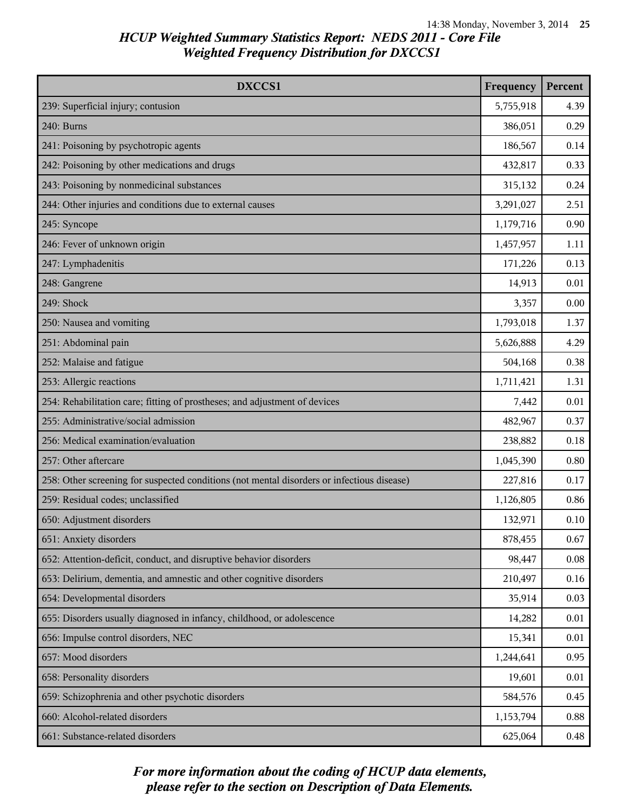| DXCCS1                                                                                     |           | Percent |
|--------------------------------------------------------------------------------------------|-----------|---------|
| 239: Superficial injury; contusion                                                         | 5,755,918 | 4.39    |
| 240: Burns                                                                                 | 386,051   | 0.29    |
| 241: Poisoning by psychotropic agents                                                      | 186,567   | 0.14    |
| 242: Poisoning by other medications and drugs                                              | 432,817   | 0.33    |
| 243: Poisoning by nonmedicinal substances                                                  | 315,132   | 0.24    |
| 244: Other injuries and conditions due to external causes                                  | 3,291,027 | 2.51    |
| 245: Syncope                                                                               | 1,179,716 | 0.90    |
| 246: Fever of unknown origin                                                               | 1,457,957 | 1.11    |
| 247: Lymphadenitis                                                                         | 171,226   | 0.13    |
| 248: Gangrene                                                                              | 14,913    | 0.01    |
| 249: Shock                                                                                 | 3,357     | 0.00    |
| 250: Nausea and vomiting                                                                   | 1,793,018 | 1.37    |
| 251: Abdominal pain                                                                        | 5,626,888 | 4.29    |
| 252: Malaise and fatigue                                                                   | 504,168   | 0.38    |
| 253: Allergic reactions                                                                    | 1,711,421 | 1.31    |
| 254: Rehabilitation care; fitting of prostheses; and adjustment of devices                 | 7,442     | 0.01    |
| 255: Administrative/social admission                                                       | 482,967   | 0.37    |
| 256: Medical examination/evaluation                                                        | 238,882   | 0.18    |
| 257: Other aftercare                                                                       | 1,045,390 | 0.80    |
| 258: Other screening for suspected conditions (not mental disorders or infectious disease) | 227,816   | 0.17    |
| 259: Residual codes; unclassified                                                          | 1,126,805 | 0.86    |
| 650: Adjustment disorders                                                                  | 132,971   | 0.10    |
| 651: Anxiety disorders                                                                     | 878,455   | 0.67    |
| 652: Attention-deficit, conduct, and disruptive behavior disorders                         | 98,447    | 0.08    |
| 653: Delirium, dementia, and amnestic and other cognitive disorders                        | 210,497   | 0.16    |
| 654: Developmental disorders                                                               | 35,914    | 0.03    |
| 655: Disorders usually diagnosed in infancy, childhood, or adolescence                     | 14,282    | 0.01    |
| 656: Impulse control disorders, NEC                                                        | 15,341    | 0.01    |
| 657: Mood disorders                                                                        | 1,244,641 | 0.95    |
| 658: Personality disorders                                                                 | 19,601    | 0.01    |
| 659: Schizophrenia and other psychotic disorders                                           | 584,576   | 0.45    |
| 660: Alcohol-related disorders                                                             | 1,153,794 | 0.88    |
| 661: Substance-related disorders                                                           | 625,064   | 0.48    |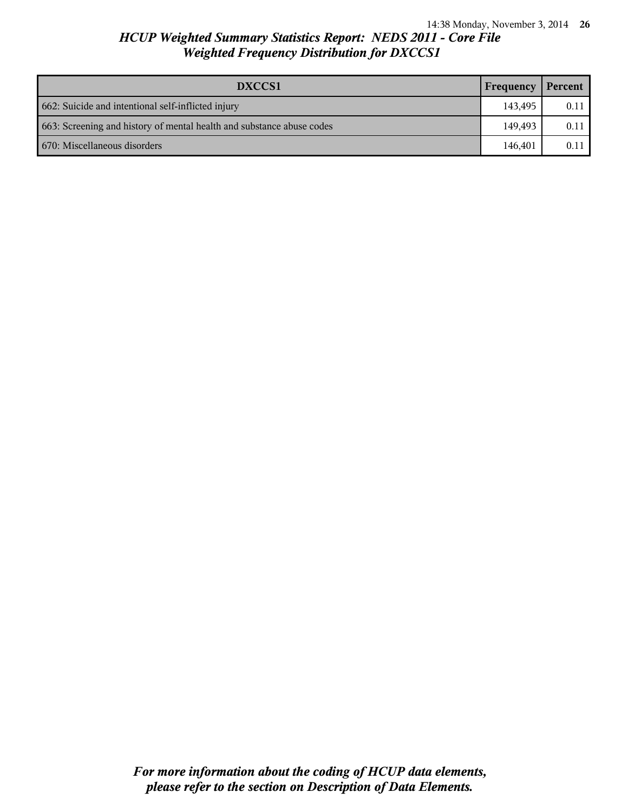| DXCCS1<br>Frequency                                                   |         | Percent |
|-----------------------------------------------------------------------|---------|---------|
| 662: Suicide and intentional self-inflicted injury                    | 143.495 | 0.11    |
| 663: Screening and history of mental health and substance abuse codes | 149.493 | 0.11    |
| 670: Miscellaneous disorders                                          | 146.401 | 0.11    |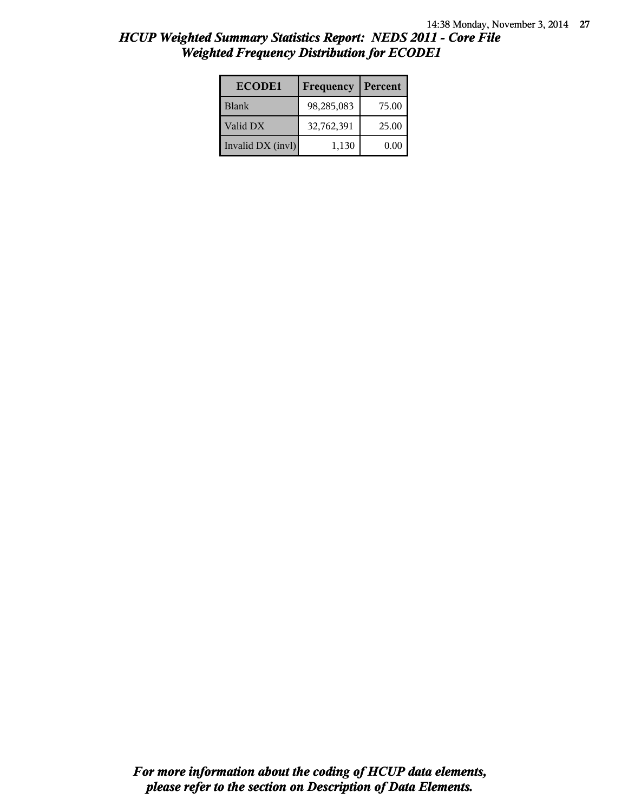| <b>ECODE1</b>     | Frequency  | Percent |
|-------------------|------------|---------|
| <b>Blank</b>      | 98,285,083 | 75.00   |
| Valid DX          | 32,762,391 | 25.00   |
| Invalid DX (invl) | 1,130      | 0.00    |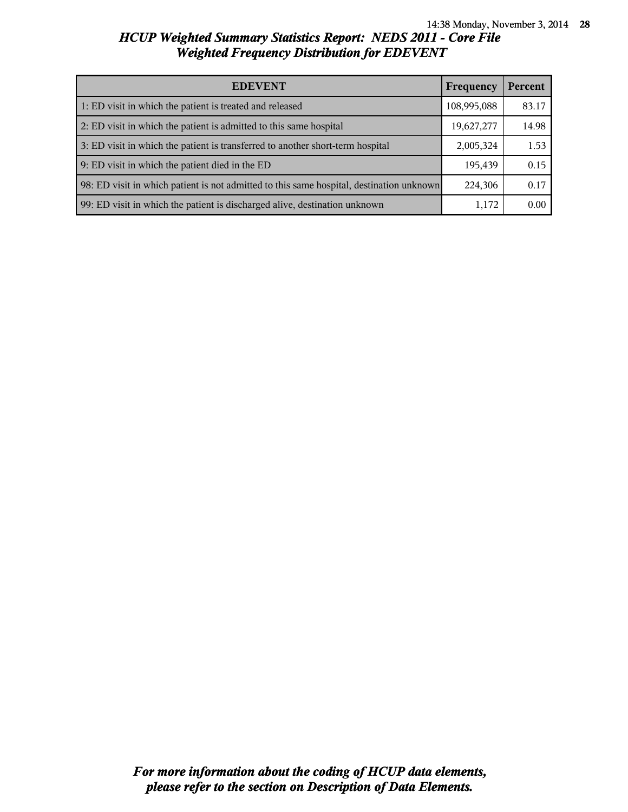| <b>EDEVENT</b><br>Frequency                                                              |            | Percent |
|------------------------------------------------------------------------------------------|------------|---------|
| 1: ED visit in which the patient is treated and released<br>108,995,088                  |            | 83.17   |
| 2: ED visit in which the patient is admitted to this same hospital                       | 19,627,277 | 14.98   |
| 3: ED visit in which the patient is transferred to another short-term hospital           |            | 1.53    |
| 9: ED visit in which the patient died in the ED                                          |            | 0.15    |
| 98: ED visit in which patient is not admitted to this same hospital, destination unknown | 224,306    | 0.17    |
| 99: ED visit in which the patient is discharged alive, destination unknown               | 1,172      | 0.00    |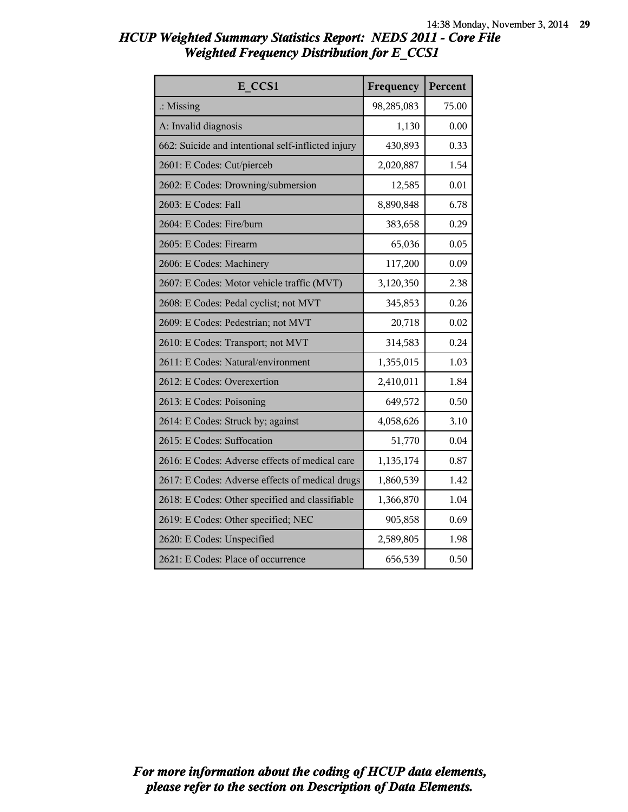| <b>HCUP Weighted Summary Statistics Report: NEDS 2011 - Core File</b> |  |  |
|-----------------------------------------------------------------------|--|--|
| <b>Weighted Frequency Distribution for E_CCS1</b>                     |  |  |

| E CCS1                                             | Frequency  | Percent |
|----------------------------------------------------|------------|---------|
| $\therefore$ Missing                               | 98,285,083 | 75.00   |
| A: Invalid diagnosis                               | 1,130      | 0.00    |
| 662: Suicide and intentional self-inflicted injury | 430,893    | 0.33    |
| 2601: E Codes: Cut/pierceb                         | 2,020,887  | 1.54    |
| 2602: E Codes: Drowning/submersion                 | 12,585     | 0.01    |
| 2603: E Codes: Fall                                | 8,890,848  | 6.78    |
| 2604: E Codes: Fire/burn                           | 383,658    | 0.29    |
| 2605: E Codes: Firearm                             | 65,036     | 0.05    |
| 2606: E Codes: Machinery                           | 117,200    | 0.09    |
| 2607: E Codes: Motor vehicle traffic (MVT)         | 3,120,350  | 2.38    |
| 2608: E Codes: Pedal cyclist; not MVT              | 345,853    | 0.26    |
| 2609: E Codes: Pedestrian; not MVT                 | 20,718     | 0.02    |
| 2610: E Codes: Transport; not MVT                  | 314,583    | 0.24    |
| 2611: E Codes: Natural/environment                 | 1,355,015  | 1.03    |
| 2612: E Codes: Overexertion                        | 2,410,011  | 1.84    |
| 2613: E Codes: Poisoning                           | 649,572    | 0.50    |
| 2614: E Codes: Struck by; against                  | 4,058,626  | 3.10    |
| 2615: E Codes: Suffocation                         | 51,770     | 0.04    |
| 2616: E Codes: Adverse effects of medical care     | 1,135,174  | 0.87    |
| 2617: E Codes: Adverse effects of medical drugs    | 1,860,539  | 1.42    |
| 2618: E Codes: Other specified and classifiable    | 1,366,870  | 1.04    |
| 2619: E Codes: Other specified; NEC                | 905,858    | 0.69    |
| 2620: E Codes: Unspecified                         | 2,589,805  | 1.98    |
| 2621: E Codes: Place of occurrence                 | 656,539    | 0.50    |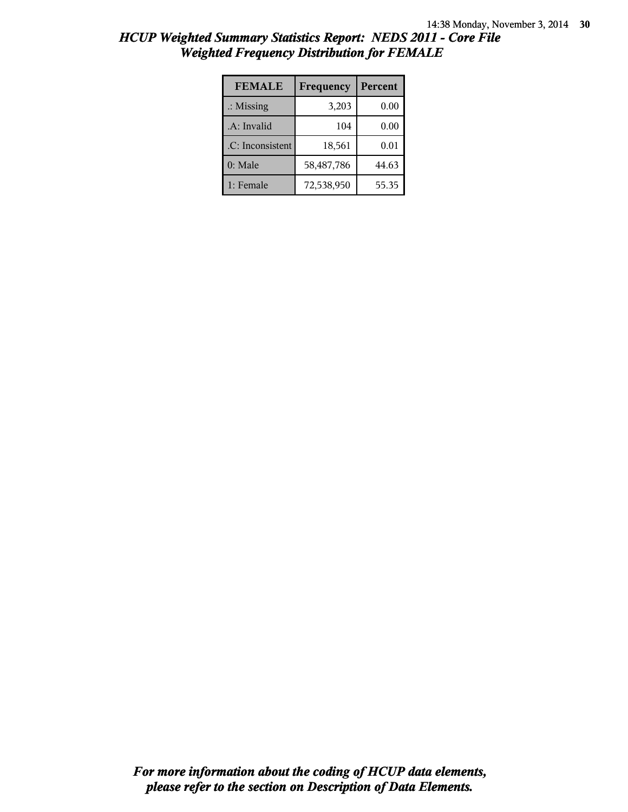| <b>FEMALE</b>        | Frequency  | Percent |
|----------------------|------------|---------|
| $\therefore$ Missing | 3,203      | 0.00    |
| .A: Invalid          | 104        | 0.00    |
| .C: Inconsistent     | 18,561     | 0.01    |
| 0: Male              | 58,487,786 | 44.63   |
| 1: Female            | 72,538,950 | 55.35   |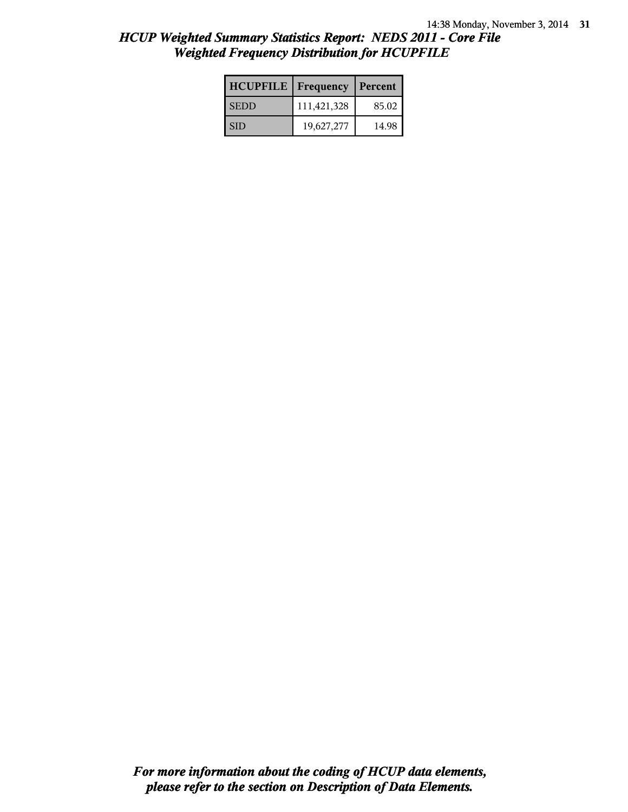| <b>HCUPFILE</b>   Frequency |             | Percent |
|-----------------------------|-------------|---------|
| <b>SEDD</b>                 | 111,421,328 | 85.02   |
| SID                         | 19,627,277  | 14.98   |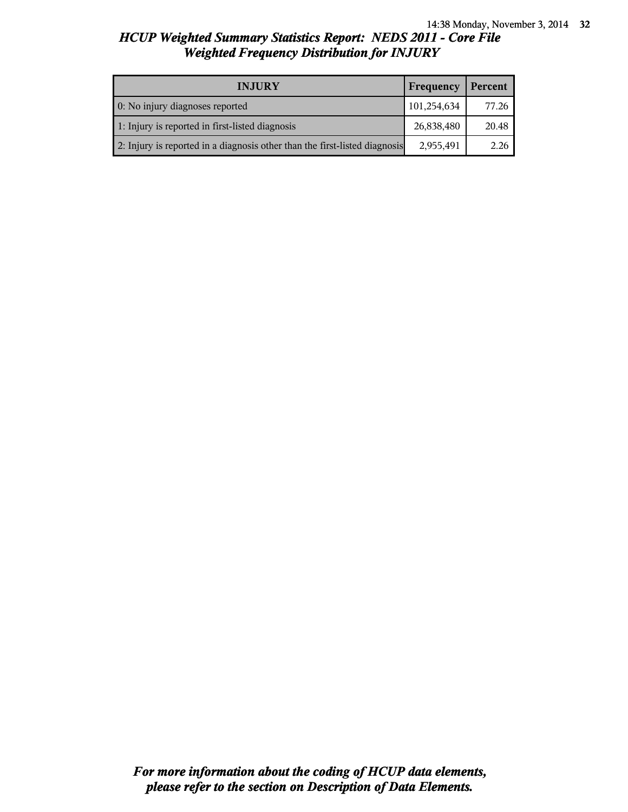| <b>INJURY</b>                                                              | Frequency   | Percent |
|----------------------------------------------------------------------------|-------------|---------|
| 0: No injury diagnoses reported                                            | 101,254,634 | 77.26   |
| 1: Injury is reported in first-listed diagnosis                            | 26,838,480  | 20.48   |
| 2: Injury is reported in a diagnosis other than the first-listed diagnosis | 2,955,491   | 2.26    |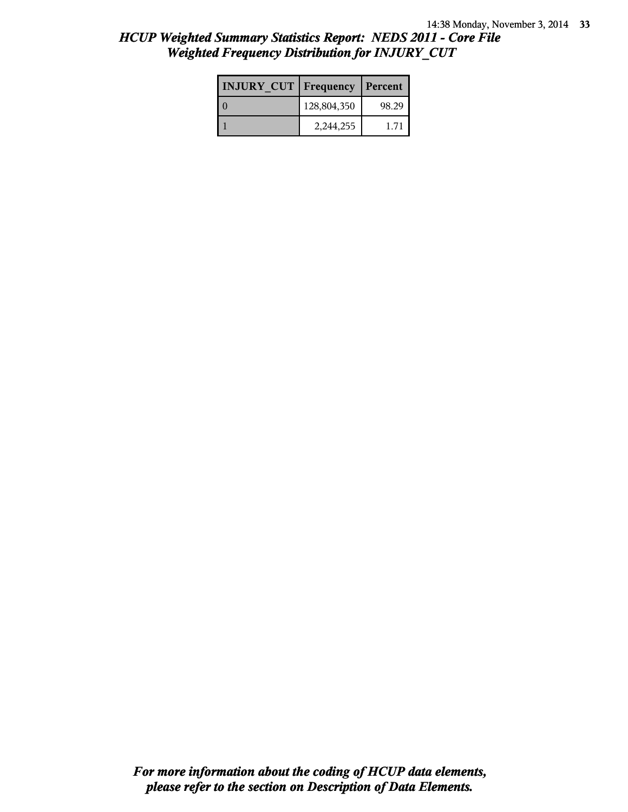| <b>INJURY CUT   Frequency</b> |             | Percent |
|-------------------------------|-------------|---------|
|                               | 128,804,350 | 98.29   |
|                               | 2,244,255   | 171     |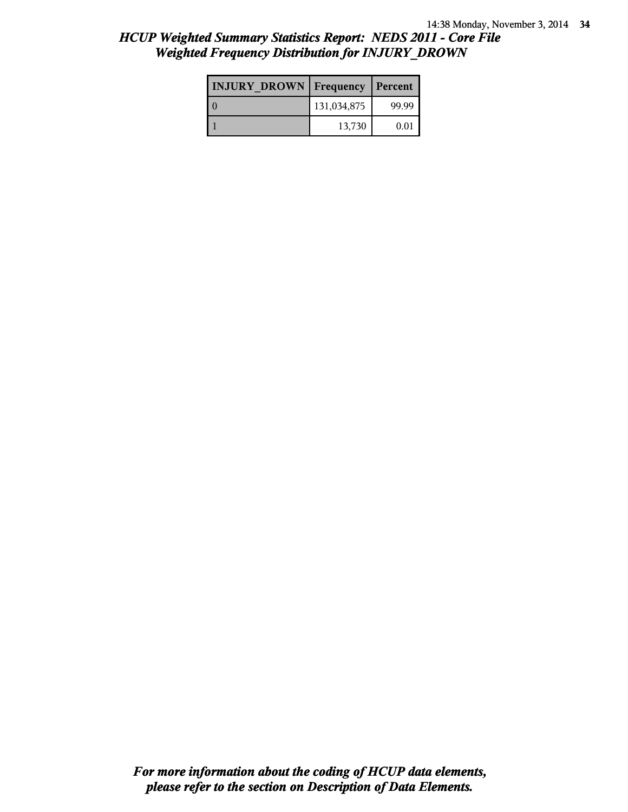| <b>INJURY DROWN</b> Frequency |             | Percent |
|-------------------------------|-------------|---------|
|                               | 131,034,875 | 99.99   |
|                               | 13,730      | 0.01    |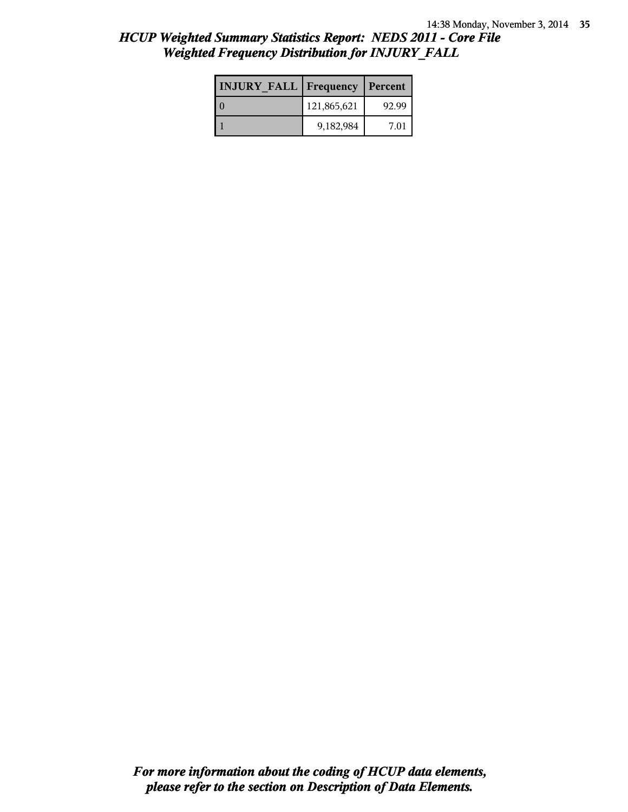| <b>INJURY FALL Frequency Percent</b> |             |       |
|--------------------------------------|-------------|-------|
|                                      | 121,865,621 | 92.99 |
|                                      | 9,182,984   | 7.01  |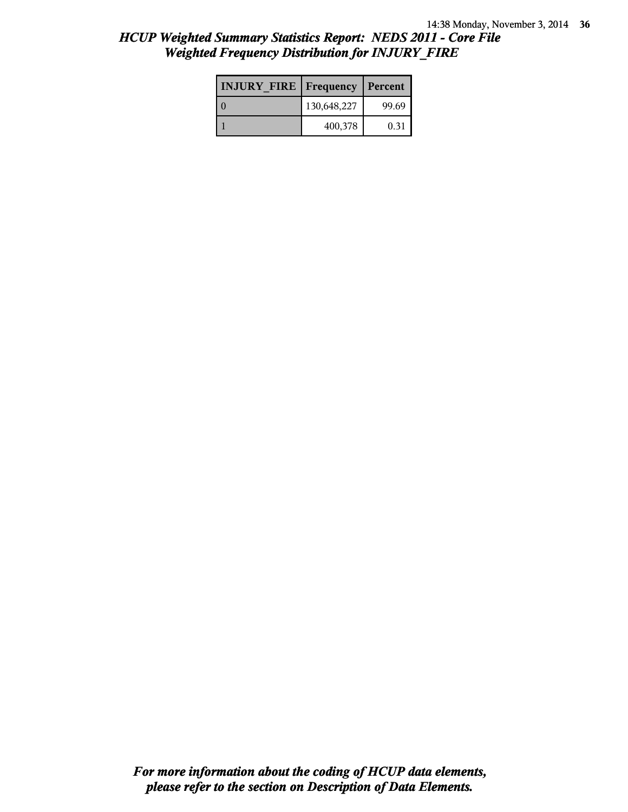| <b>INJURY FIRE   Frequency</b> |             | Percent |
|--------------------------------|-------------|---------|
|                                | 130,648,227 | 99.69   |
|                                | 400,378     | 0.31    |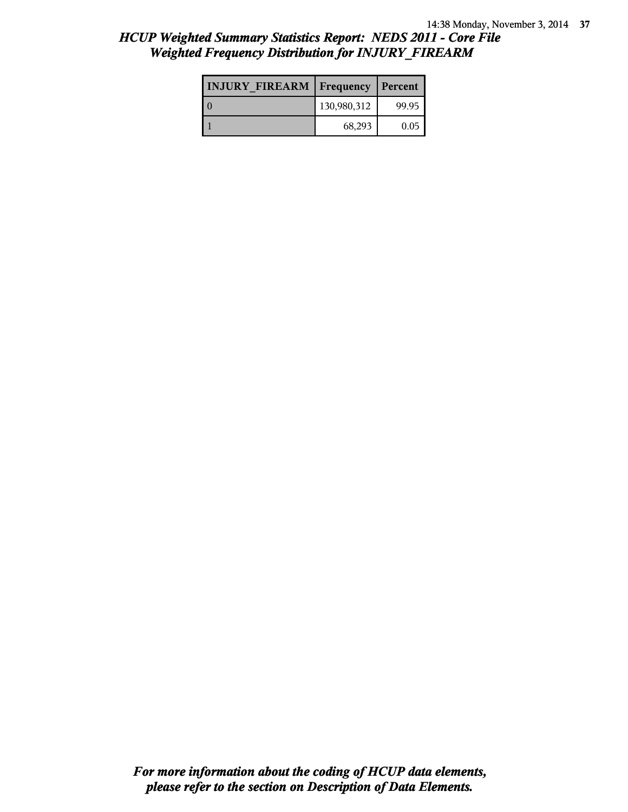| <b>INJURY FIREARM Frequency</b> |             | Percent |
|---------------------------------|-------------|---------|
|                                 | 130,980,312 | 99.95   |
|                                 | 68,293      | 0.05    |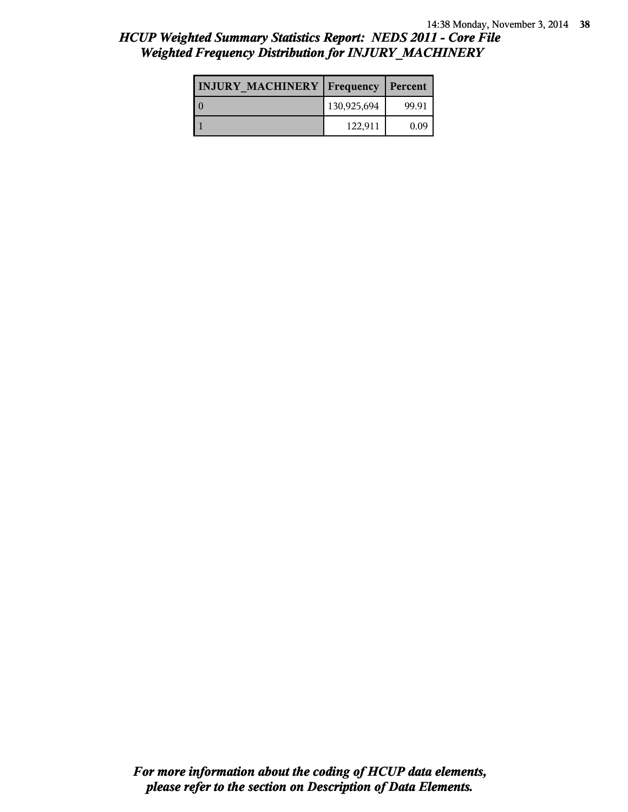| <b>INJURY MACHINERY   Frequency</b> |             | Percent |
|-------------------------------------|-------------|---------|
|                                     | 130,925,694 | 99.91   |
|                                     | 122,911     | 0.09    |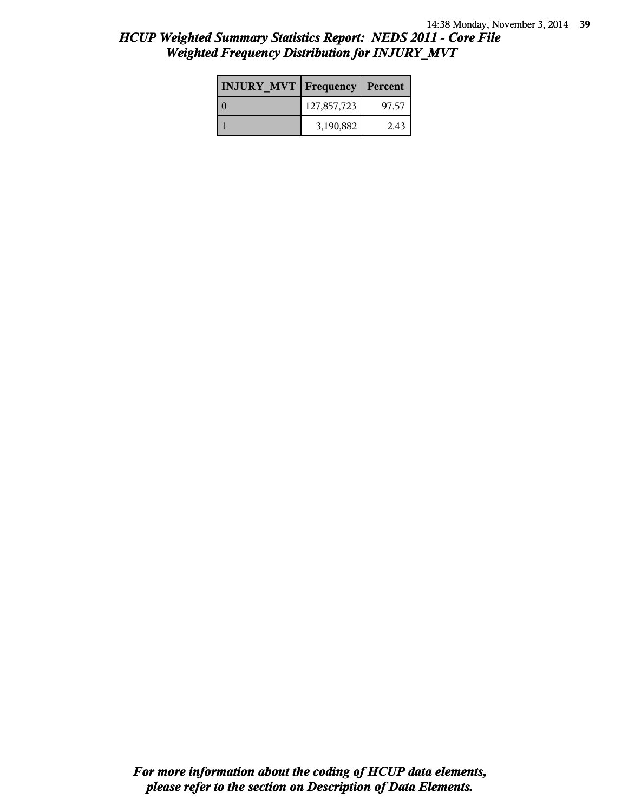| <b>INJURY MVT Frequency</b> |             | Percent |
|-----------------------------|-------------|---------|
|                             | 127,857,723 | 97.57   |
|                             | 3,190,882   | 2.43    |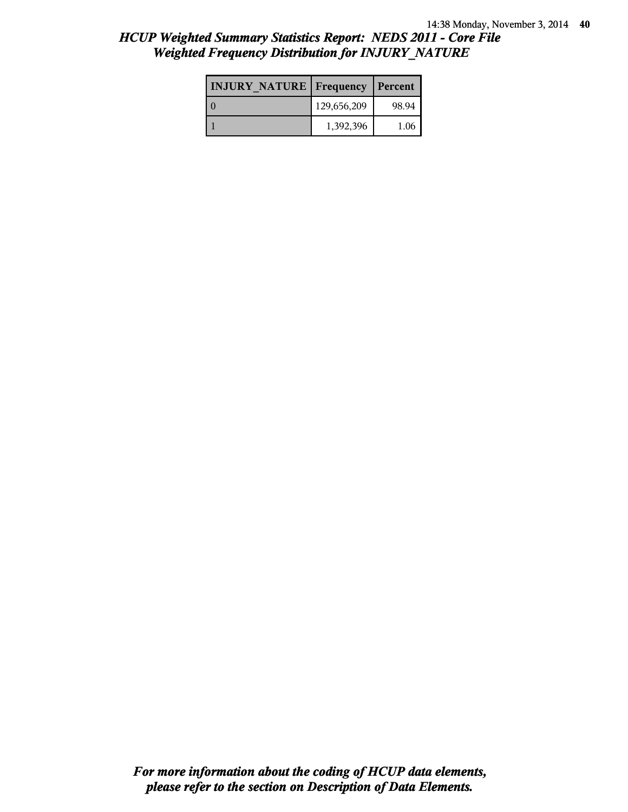| <b>INJURY NATURE Frequency</b> |             | Percent |
|--------------------------------|-------------|---------|
|                                | 129,656,209 | 98.94   |
|                                | 1,392,396   | 1.06    |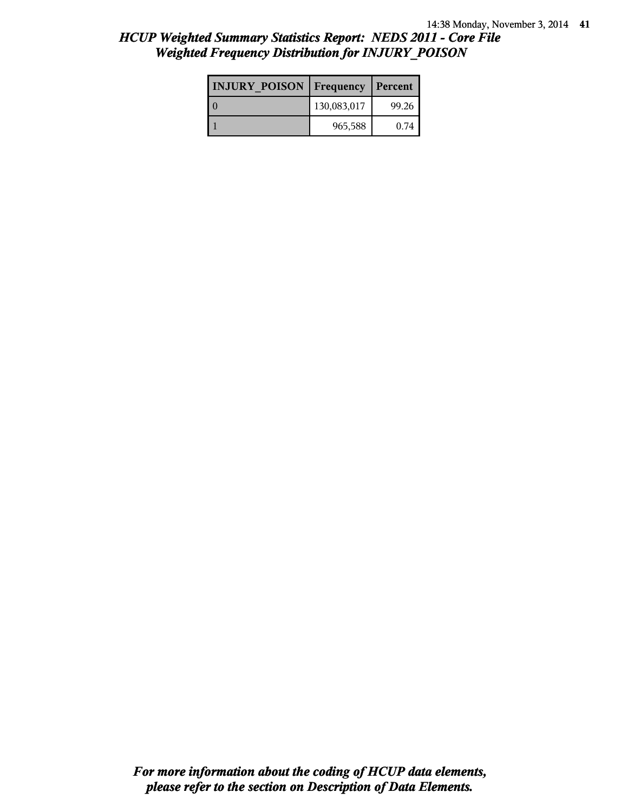| <b>INJURY POISON Frequency</b> |             | Percent |
|--------------------------------|-------------|---------|
|                                | 130,083,017 | 99.26   |
|                                | 965,588     | 0.74    |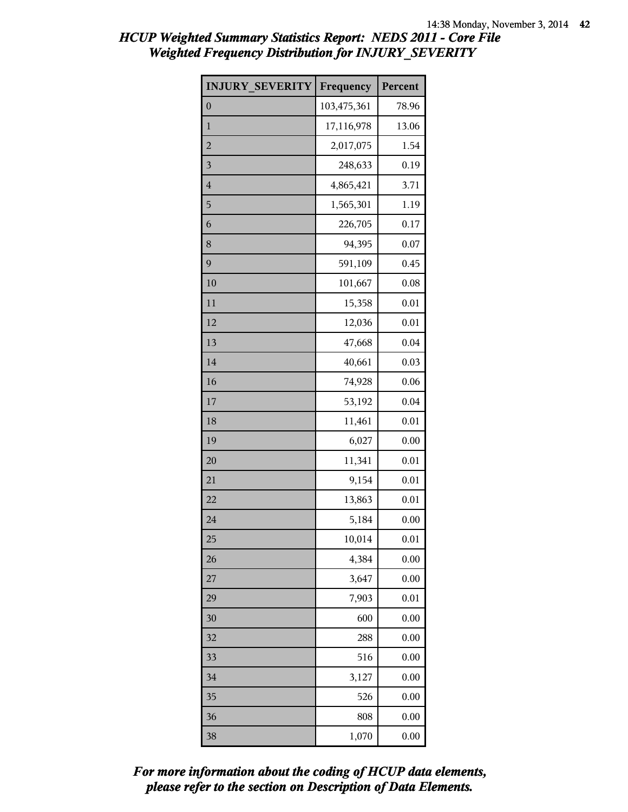| <b>INJURY SEVERITY</b>  | Frequency   | Percent |
|-------------------------|-------------|---------|
| $\overline{0}$          | 103,475,361 | 78.96   |
| $\mathbf{1}$            | 17,116,978  | 13.06   |
| $\overline{c}$          | 2,017,075   | 1.54    |
| $\overline{\mathbf{3}}$ | 248,633     | 0.19    |
| $\overline{4}$          | 4,865,421   | 3.71    |
| 5                       | 1,565,301   | 1.19    |
| 6                       | 226,705     | 0.17    |
| 8                       | 94,395      | 0.07    |
| 9                       | 591,109     | 0.45    |
| 10                      | 101,667     | 0.08    |
| 11                      | 15,358      | 0.01    |
| 12                      | 12,036      | 0.01    |
| 13                      | 47,668      | 0.04    |
| 14                      | 40,661      | 0.03    |
| 16                      | 74,928      | 0.06    |
| 17                      | 53,192      | 0.04    |
| 18                      | 11,461      | 0.01    |
| 19                      | 6,027       | 0.00    |
| 20                      | 11,341      | 0.01    |
| 21                      | 9,154       | 0.01    |
| 22                      | 13,863      | 0.01    |
| 24                      | 5,184       | 0.00    |
| 25                      | 10,014      | 0.01    |
| 26                      | 4,384       | 0.00    |
| 27                      | 3,647       | 0.00    |
| 29                      | 7,903       | 0.01    |
| 30                      | 600         | 0.00    |
| 32                      | 288         | 0.00    |
| 33                      | 516         | 0.00    |
| 34                      | 3,127       | 0.00    |
| 35                      | 526         | 0.00    |
| 36                      | 808         | 0.00    |
| 38                      | 1,070       | 0.00    |

*please refer to the section on Description of Data Elements. For more information about the coding of HCUP data elements,*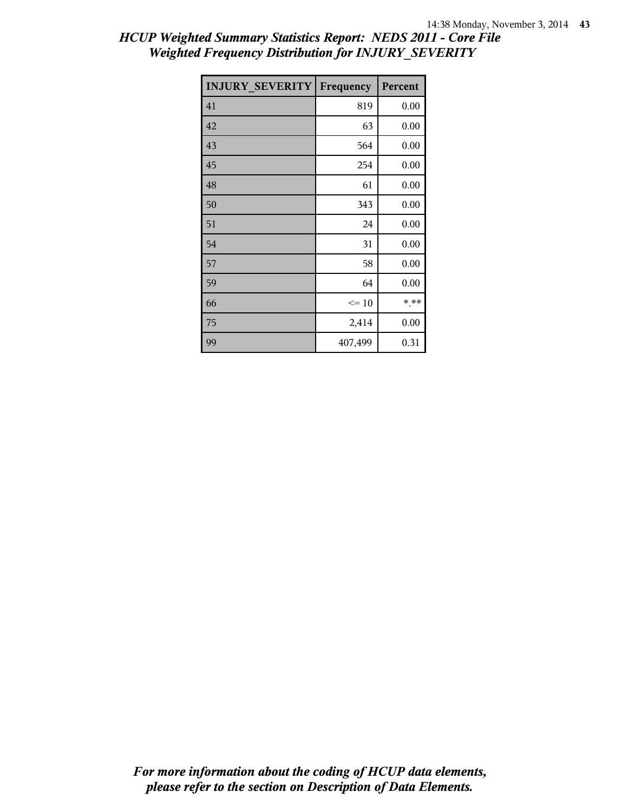| <b>INJURY SEVERITY</b> | Frequency | Percent |
|------------------------|-----------|---------|
| 41                     | 819       | 0.00    |
| 42                     | 63        | 0.00    |
| 43                     | 564       | 0.00    |
| 45                     | 254       | 0.00    |
| 48                     | 61        | 0.00    |
| 50                     | 343       | 0.00    |
| 51                     | 24        | 0.00    |
| 54                     | 31        | 0.00    |
| 57                     | 58        | 0.00    |
| 59                     | 64        | 0.00    |
| 66                     | $\leq 10$ | * **    |
| 75                     | 2,414     | 0.00    |
| 99                     | 407,499   | 0.31    |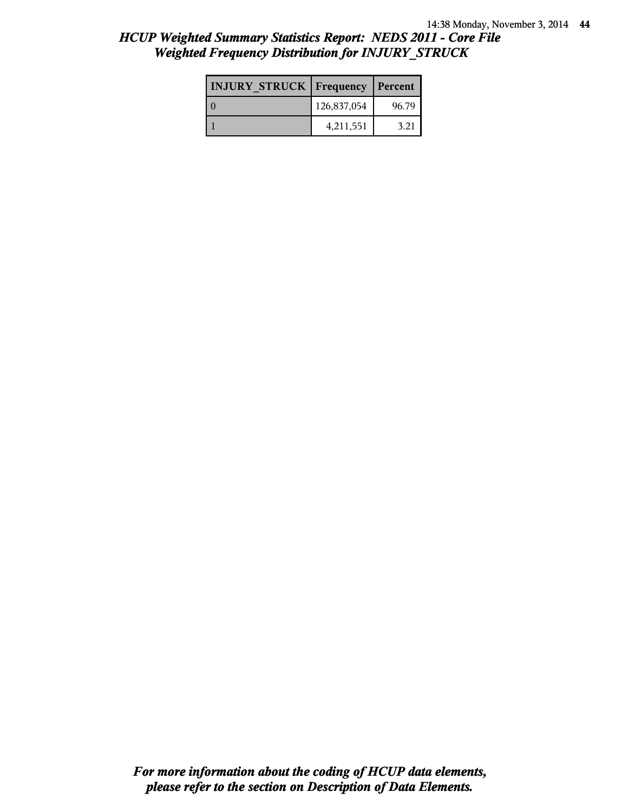| <b>INJURY STRUCK Frequency</b> |             | Percent |
|--------------------------------|-------------|---------|
| $\cap$                         | 126,837,054 | 96.79   |
|                                | 4,211,551   | 3.21    |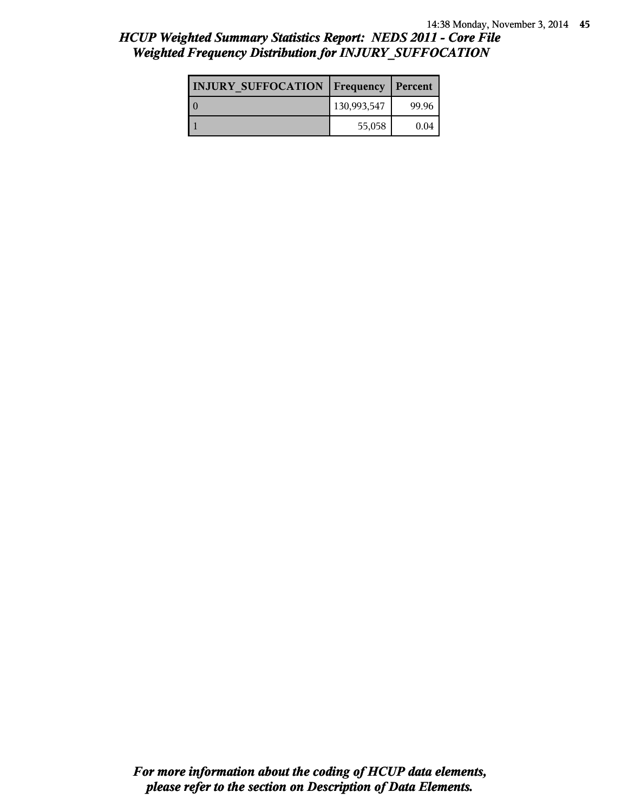| <b>INJURY SUFFOCATION   Frequency</b> |             | Percent |
|---------------------------------------|-------------|---------|
|                                       | 130,993,547 | 99.96   |
|                                       | 55,058      | 0.04    |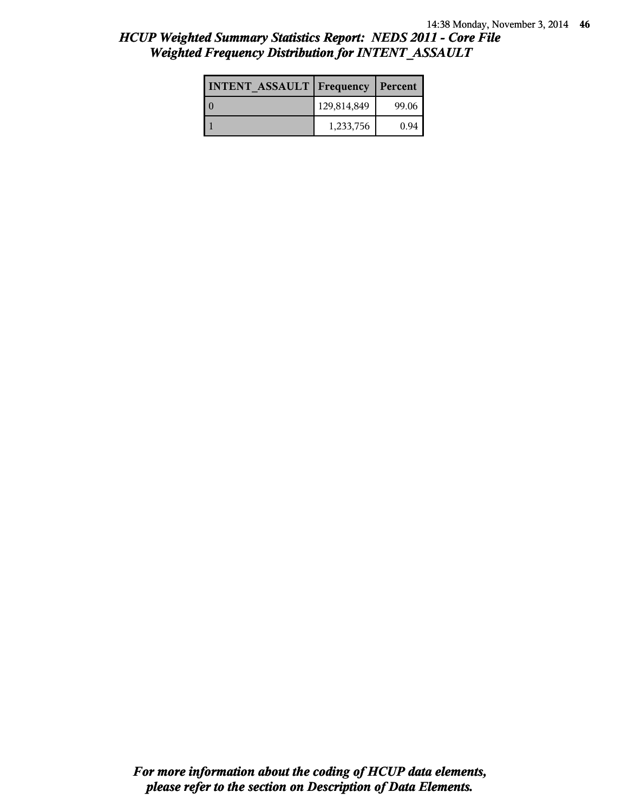| <b>INTENT ASSAULT Frequency</b> |             | Percent |
|---------------------------------|-------------|---------|
|                                 | 129,814,849 | 99.06   |
|                                 | 1,233,756   | 0.94    |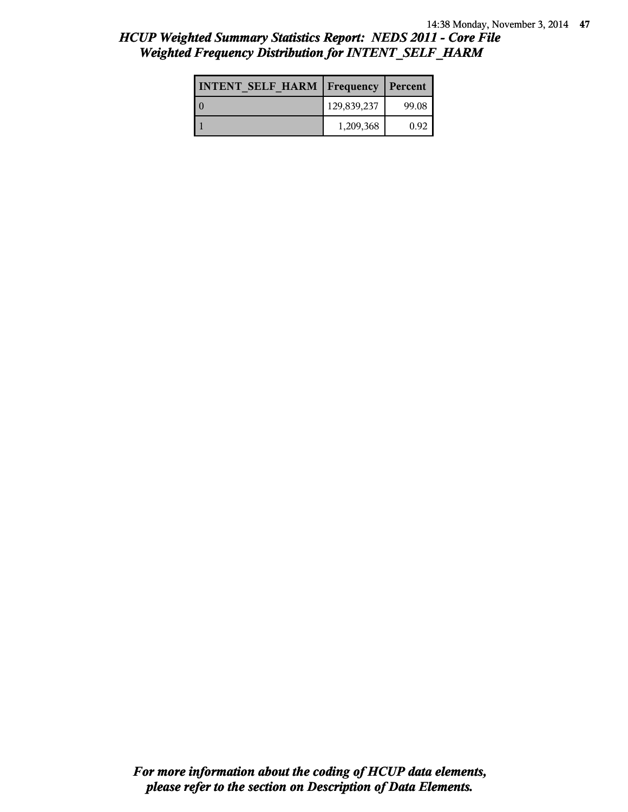| <b>INTENT SELF HARM   Frequency</b> |             | Percent |
|-------------------------------------|-------------|---------|
|                                     | 129,839,237 | 99.08   |
|                                     | 1,209,368   | 0.92    |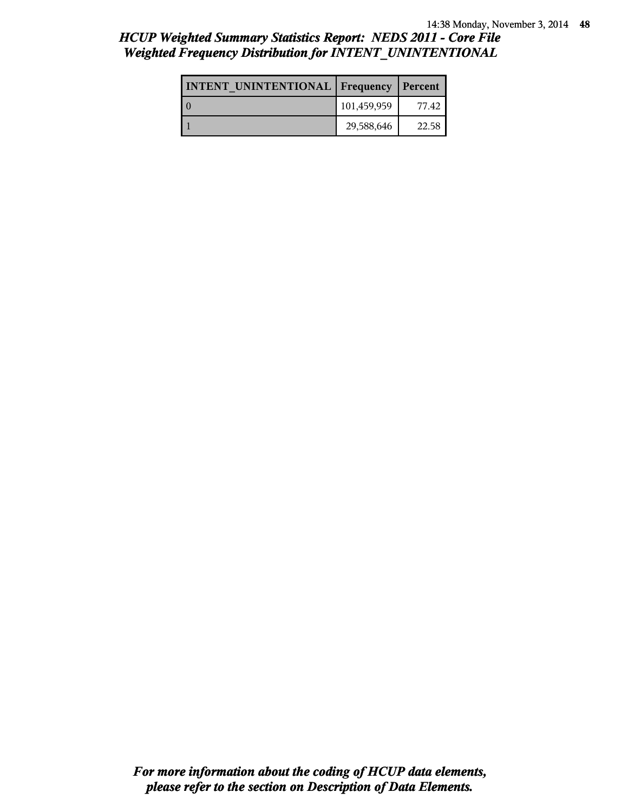| <b>INTENT UNINTENTIONAL Frequency</b> |             | Percent |
|---------------------------------------|-------------|---------|
|                                       | 101,459,959 | 77.42   |
|                                       | 29,588,646  | 22.58   |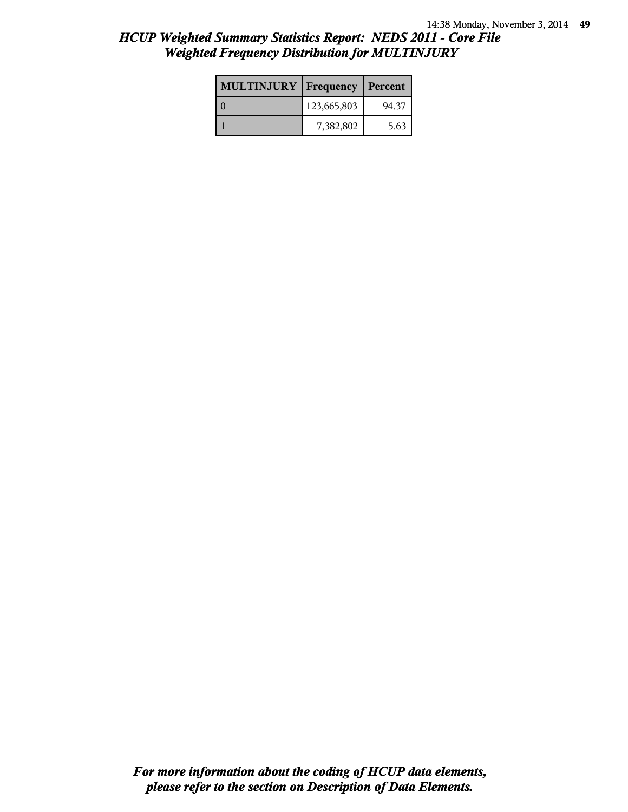| <b>MULTINJURY</b> | <b>Frequency   Percent</b> |       |
|-------------------|----------------------------|-------|
|                   | 123,665,803                | 94.37 |
|                   | 7,382,802                  | 5.63  |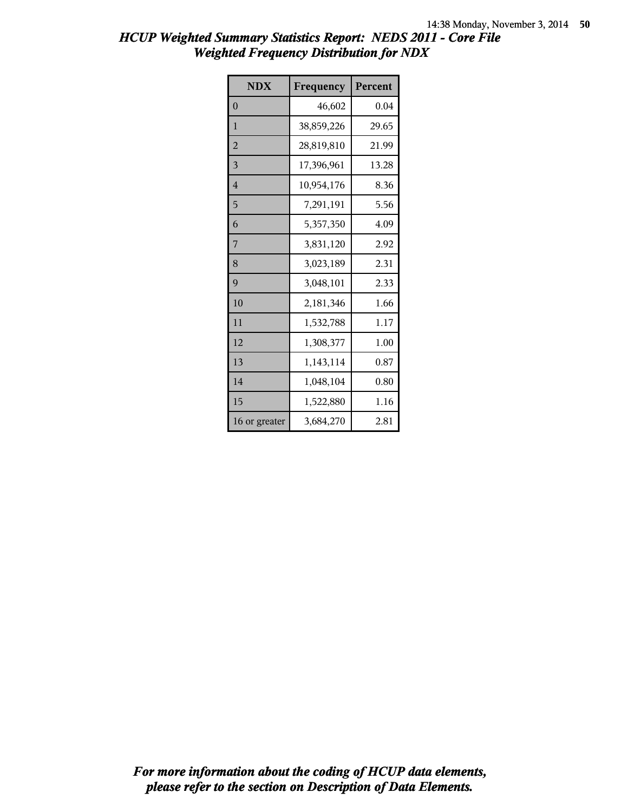| <b>NDX</b>     | Frequency  | Percent |
|----------------|------------|---------|
| $\theta$       | 46,602     | 0.04    |
| $\mathbf{1}$   | 38,859,226 | 29.65   |
| $\overline{2}$ | 28,819,810 | 21.99   |
| 3              | 17,396,961 | 13.28   |
| $\overline{4}$ | 10,954,176 | 8.36    |
| 5              | 7,291,191  | 5.56    |
| 6              | 5,357,350  | 4.09    |
| 7              | 3,831,120  | 2.92    |
| 8              | 3,023,189  | 2.31    |
| 9              | 3,048,101  | 2.33    |
| 10             | 2,181,346  | 1.66    |
| 11             | 1,532,788  | 1.17    |
| 12             | 1,308,377  | 1.00    |
| 13             | 1,143,114  | 0.87    |
| 14             | 1,048,104  | 0.80    |
| 15             | 1,522,880  | 1.16    |
| 16 or greater  | 3,684,270  | 2.81    |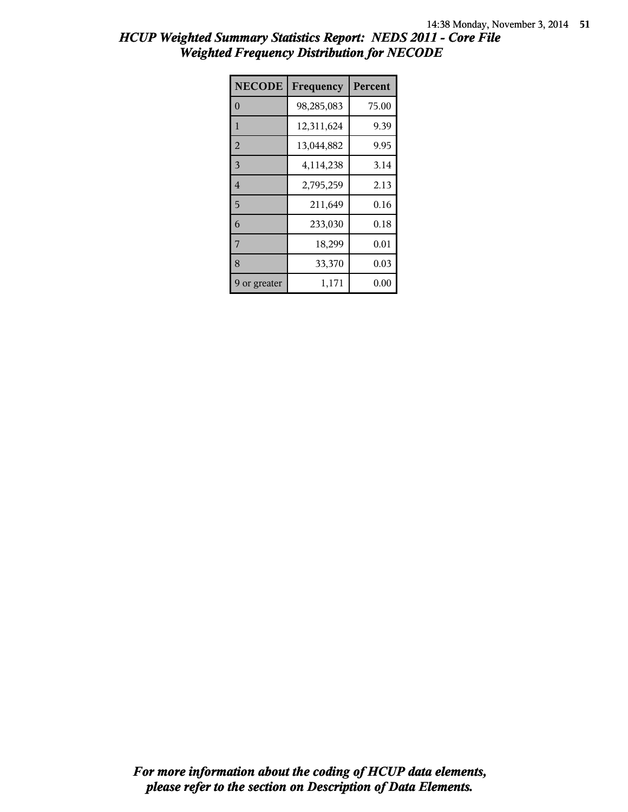| <b>NECODE</b>  | Frequency  | Percent |
|----------------|------------|---------|
| $\theta$       | 98,285,083 | 75.00   |
| 1              | 12,311,624 | 9.39    |
| $\overline{2}$ | 13,044,882 | 9.95    |
| 3              | 4,114,238  | 3.14    |
| $\overline{4}$ | 2,795,259  | 2.13    |
| 5              | 211,649    | 0.16    |
| 6              | 233,030    | 0.18    |
| 7              | 18,299     | 0.01    |
| 8              | 33,370     | 0.03    |
| 9 or greater   | 1,171      | 0.00    |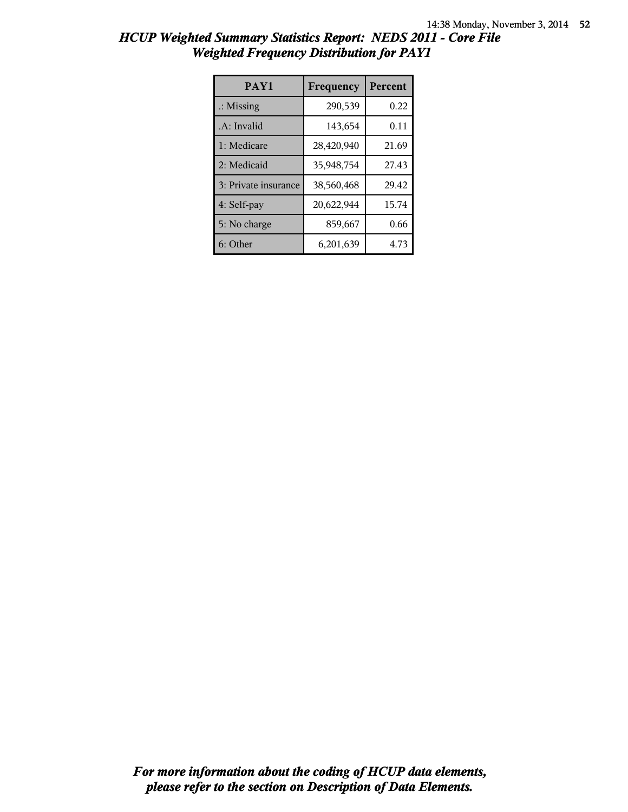| <b>HCUP Weighted Summary Statistics Report: NEDS 2011 - Core File</b> |  |
|-----------------------------------------------------------------------|--|
| <b>Weighted Frequency Distribution for PAY1</b>                       |  |

| PAY1                 | Frequency  | Percent |
|----------------------|------------|---------|
| $\therefore$ Missing | 290,539    | 0.22    |
| .A: Invalid          | 143,654    | 0.11    |
| 1: Medicare          | 28,420,940 | 21.69   |
| 2: Medicaid          | 35,948,754 | 27.43   |
| 3: Private insurance | 38,560,468 | 29.42   |
| 4: Self-pay          | 20,622,944 | 15.74   |
| 5: No charge         | 859,667    | 0.66    |
| 6: Other             | 6,201,639  | 4.73    |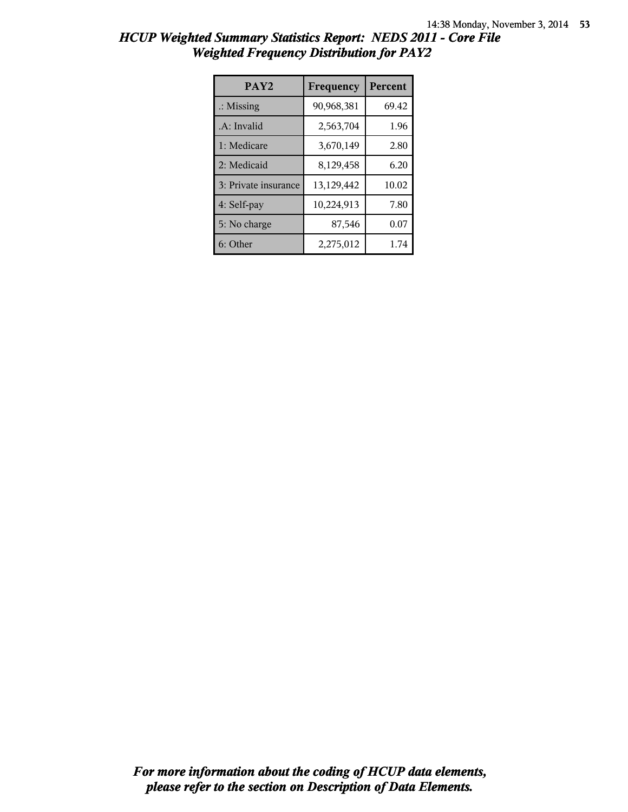| <b>HCUP Weighted Summary Statistics Report: NEDS 2011 - Core File</b> |  |
|-----------------------------------------------------------------------|--|
| <b>Weighted Frequency Distribution for PAY2</b>                       |  |
|                                                                       |  |

| PAY <sub>2</sub>     | Frequency  | <b>Percent</b> |
|----------------------|------------|----------------|
| $\therefore$ Missing | 90,968,381 | 69.42          |
| .A: Invalid          | 2,563,704  | 1.96           |
| 1: Medicare          | 3,670,149  | 2.80           |
| 2: Medicaid          | 8,129,458  | 6.20           |
| 3: Private insurance | 13,129,442 | 10.02          |
| 4: Self-pay          | 10,224,913 | 7.80           |
| 5: No charge         | 87,546     | 0.07           |
| 6: Other             | 2,275,012  | 1.74           |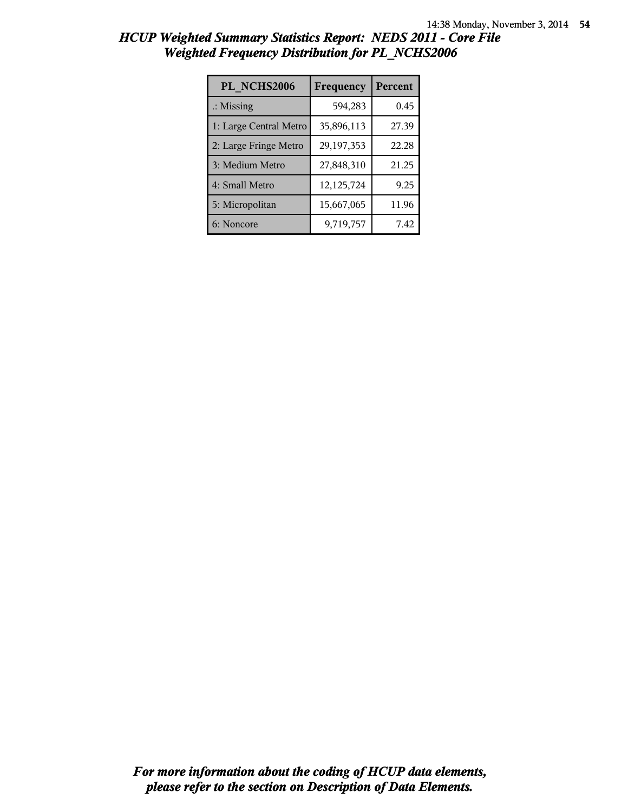| PL NCHS2006            | Frequency  | Percent |
|------------------------|------------|---------|
| $\therefore$ Missing   | 594,283    | 0.45    |
| 1: Large Central Metro | 35,896,113 | 27.39   |
| 2: Large Fringe Metro  | 29,197,353 | 22.28   |
| 3: Medium Metro        | 27,848,310 | 21.25   |
| 4: Small Metro         | 12,125,724 | 9.25    |
| 5: Micropolitan        | 15,667,065 | 11.96   |
| 6: Noncore             | 9,719,757  | 7.42    |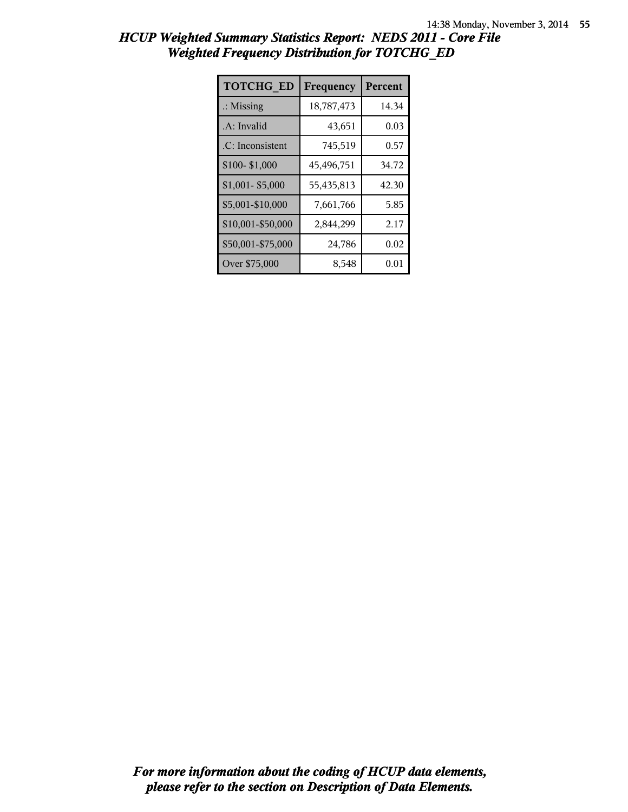| <b>TOTCHG ED</b>     | Frequency  | Percent |
|----------------------|------------|---------|
| $\therefore$ Missing | 18,787,473 | 14.34   |
| .A: Invalid          | 43,651     | 0.03    |
| .C: Inconsistent     | 745,519    | 0.57    |
| \$100-\$1,000        | 45,496,751 | 34.72   |
| $$1,001 - $5,000$    | 55,435,813 | 42.30   |
| \$5,001-\$10,000     | 7,661,766  | 5.85    |
| \$10,001-\$50,000    | 2,844,299  | 2.17    |
| \$50,001-\$75,000    | 24,786     | 0.02    |
| Over \$75,000        | 8,548      | 0.01    |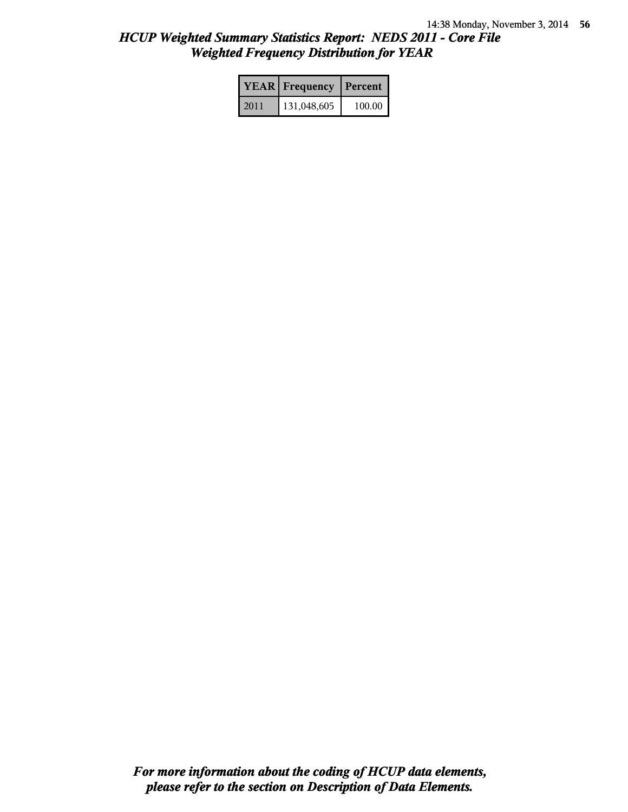|      | <b>YEAR</b> Frequency | Percent |
|------|-----------------------|---------|
| 2011 | 131,048,605           | 100.00  |